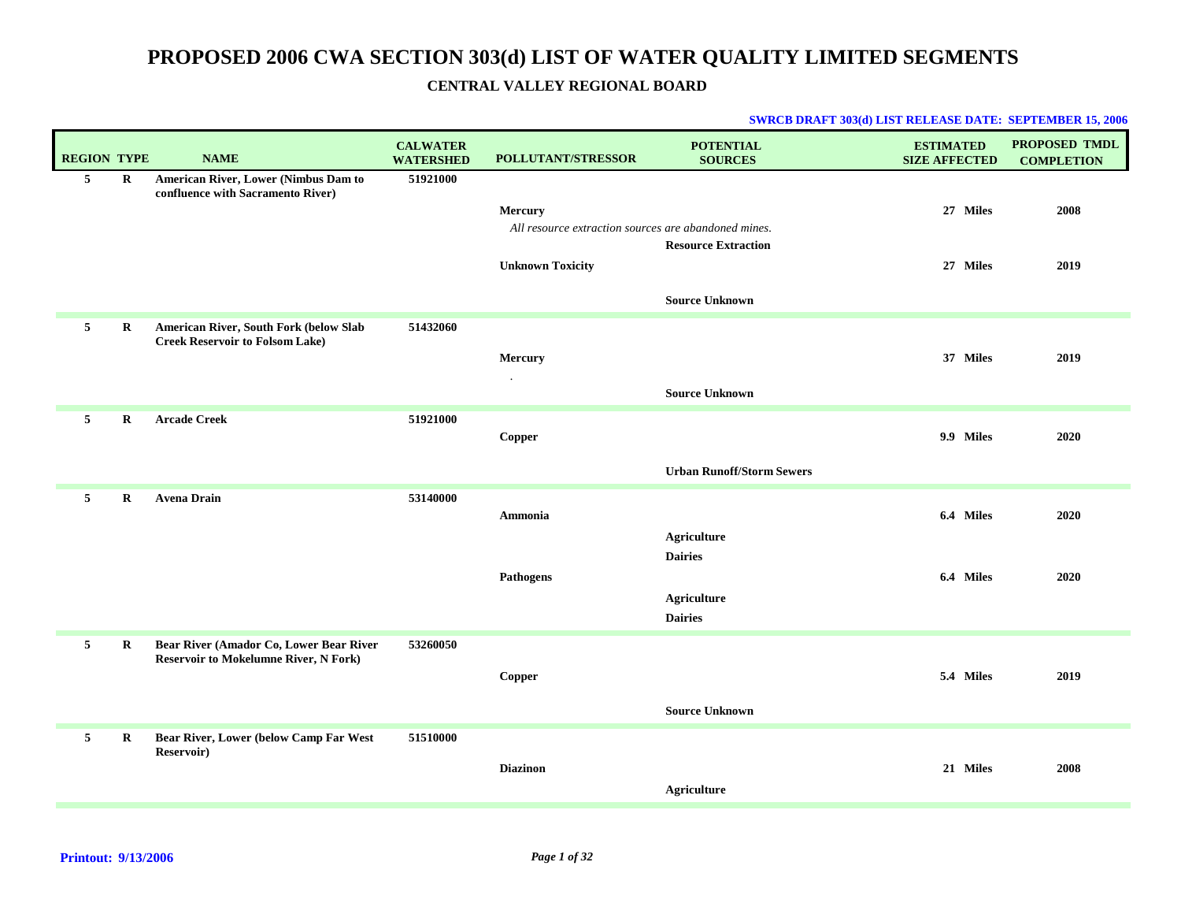| <b>REGION TYPE</b> |             | <b>NAME</b>                                                                             | <b>CALWATER</b><br><b>WATERSHED</b> | <b>POLLUTANT/STRESSOR</b>                                                                  | <b>POTENTIAL</b><br><b>SOURCES</b>                  | <b>ESTIMATED</b><br><b>SIZE AFFECTED</b> | PROPOSED TMDL<br><b>COMPLETION</b> |
|--------------------|-------------|-----------------------------------------------------------------------------------------|-------------------------------------|--------------------------------------------------------------------------------------------|-----------------------------------------------------|------------------------------------------|------------------------------------|
| 5 <sub>5</sub>     | $\bf R$     | American River, Lower (Nimbus Dam to<br>confluence with Sacramento River)               | 51921000                            | Mercury<br>All resource extraction sources are abandoned mines.<br><b>Unknown Toxicity</b> | <b>Resource Extraction</b><br><b>Source Unknown</b> | 27 Miles<br>27 Miles                     | 2008<br>2019                       |
| 5                  | $\bf{R}$    | American River, South Fork (below Slab<br><b>Creek Reservoir to Folsom Lake)</b>        | 51432060                            | Mercury<br>$\bullet$                                                                       | <b>Source Unknown</b>                               | 37 Miles                                 | 2019                               |
| 5                  | $\mathbf R$ | <b>Arcade Creek</b>                                                                     | 51921000                            | Copper                                                                                     | <b>Urban Runoff/Storm Sewers</b>                    | 9.9 Miles                                | 2020                               |
| $5^{\circ}$        | $\mathbf R$ | <b>Avena Drain</b>                                                                      | 53140000                            | Ammonia                                                                                    | <b>Agriculture</b><br><b>Dairies</b>                | 6.4 Miles                                | 2020                               |
|                    |             |                                                                                         |                                     | Pathogens                                                                                  | <b>Agriculture</b><br><b>Dairies</b>                | 6.4 Miles                                | 2020                               |
| 5                  | $\bf R$     | Bear River (Amador Co, Lower Bear River<br><b>Reservoir to Mokelumne River, N Fork)</b> | 53260050                            | Copper                                                                                     | <b>Source Unknown</b>                               | 5.4 Miles                                | 2019                               |
| 5                  | $\bf R$     | Bear River, Lower (below Camp Far West<br><b>Reservoir</b> )                            | 51510000                            |                                                                                            |                                                     |                                          |                                    |
|                    |             |                                                                                         |                                     | <b>Diazinon</b>                                                                            | Agriculture                                         | 21 Miles                                 | 2008                               |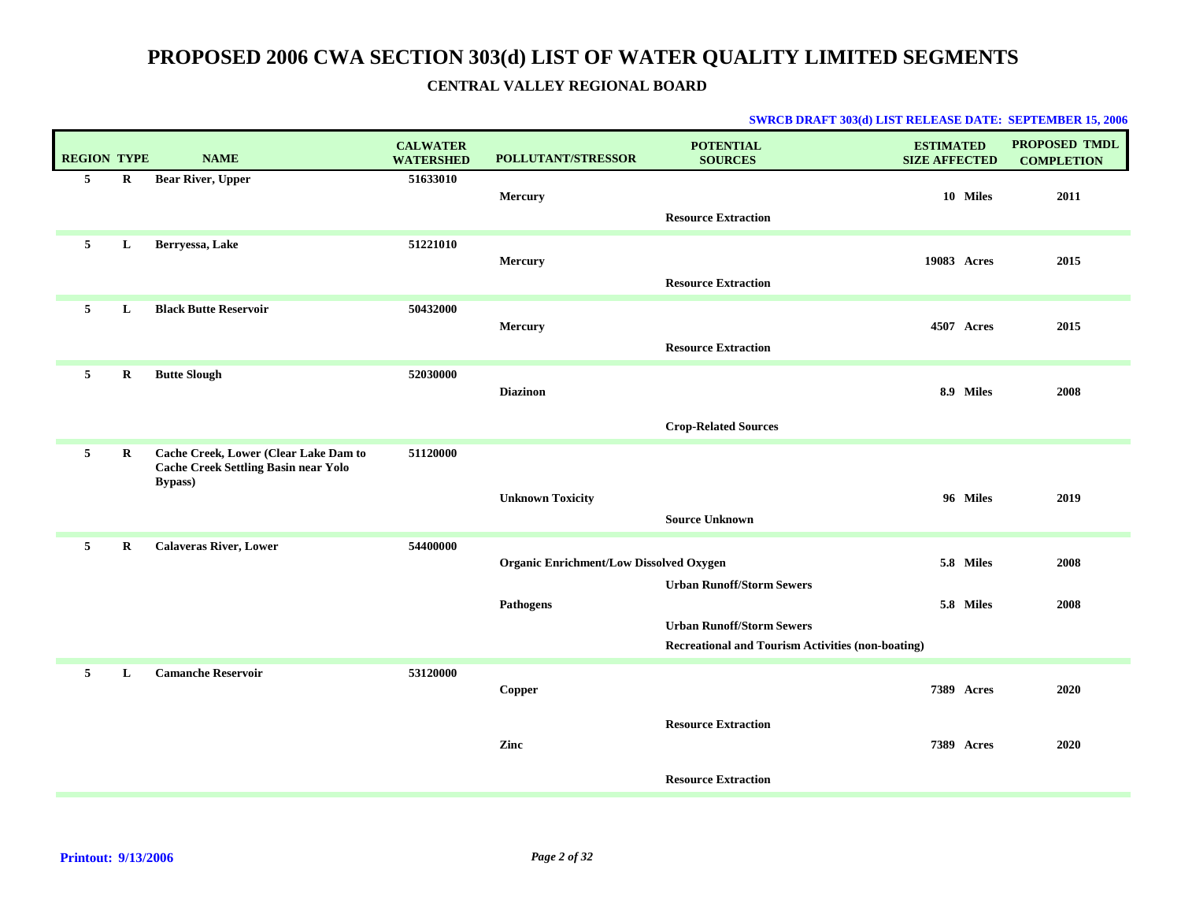| <b>REGION TYPE</b> |         | <b>NAME</b>                                                                                             | <b>CALWATER</b><br><b>WATERSHED</b> | <b>POLLUTANT/STRESSOR</b>                      | <b>POTENTIAL</b><br><b>SOURCES</b>                       | <b>ESTIMATED</b><br><b>SIZE AFFECTED</b> | <b>PROPOSED TMDL</b><br><b>COMPLETION</b> |
|--------------------|---------|---------------------------------------------------------------------------------------------------------|-------------------------------------|------------------------------------------------|----------------------------------------------------------|------------------------------------------|-------------------------------------------|
| 5 <sub>5</sub>     | $\bf R$ | <b>Bear River, Upper</b>                                                                                | 51633010                            | <b>Mercury</b>                                 |                                                          | 10 Miles                                 | 2011                                      |
|                    |         |                                                                                                         |                                     |                                                | <b>Resource Extraction</b>                               |                                          |                                           |
| 5                  | L       | Berryessa, Lake                                                                                         | 51221010                            |                                                |                                                          |                                          |                                           |
|                    |         |                                                                                                         |                                     | Mercury                                        | <b>Resource Extraction</b>                               | 19083 Acres                              | 2015                                      |
| 5                  | L       | <b>Black Butte Reservoir</b>                                                                            | 50432000                            |                                                |                                                          |                                          |                                           |
|                    |         |                                                                                                         |                                     | Mercury                                        |                                                          | <b>4507 Acres</b>                        | 2015                                      |
|                    |         |                                                                                                         |                                     |                                                | <b>Resource Extraction</b>                               |                                          |                                           |
| 5                  | $\bf R$ | <b>Butte Slough</b>                                                                                     | 52030000                            | <b>Diazinon</b>                                |                                                          | 8.9 Miles                                | 2008                                      |
|                    |         |                                                                                                         |                                     |                                                |                                                          |                                          |                                           |
|                    |         |                                                                                                         |                                     |                                                | <b>Crop-Related Sources</b>                              |                                          |                                           |
| 5                  | $\bf R$ | Cache Creek, Lower (Clear Lake Dam to<br><b>Cache Creek Settling Basin near Yolo</b><br><b>Bypass</b> ) | 51120000                            |                                                |                                                          |                                          |                                           |
|                    |         |                                                                                                         |                                     | <b>Unknown Toxicity</b>                        |                                                          | 96 Miles                                 | 2019                                      |
|                    |         |                                                                                                         |                                     |                                                | <b>Source Unknown</b>                                    |                                          |                                           |
| 5                  | $\bf R$ | <b>Calaveras River, Lower</b>                                                                           | 54400000                            | <b>Organic Enrichment/Low Dissolved Oxygen</b> |                                                          | 5.8 Miles                                | 2008                                      |
|                    |         |                                                                                                         |                                     |                                                | <b>Urban Runoff/Storm Sewers</b>                         |                                          |                                           |
|                    |         |                                                                                                         |                                     | Pathogens                                      |                                                          | 5.8 Miles                                | 2008                                      |
|                    |         |                                                                                                         |                                     |                                                | <b>Urban Runoff/Storm Sewers</b>                         |                                          |                                           |
|                    |         |                                                                                                         |                                     |                                                | <b>Recreational and Tourism Activities (non-boating)</b> |                                          |                                           |
| 5                  | L       | <b>Camanche Reservoir</b>                                                                               | 53120000                            | Copper                                         |                                                          | <b>7389 Acres</b>                        | 2020                                      |
|                    |         |                                                                                                         |                                     |                                                |                                                          |                                          |                                           |
|                    |         |                                                                                                         |                                     | Zinc                                           | <b>Resource Extraction</b>                               | <b>7389 Acres</b>                        | 2020                                      |
|                    |         |                                                                                                         |                                     |                                                |                                                          |                                          |                                           |
|                    |         |                                                                                                         |                                     |                                                | <b>Resource Extraction</b>                               |                                          |                                           |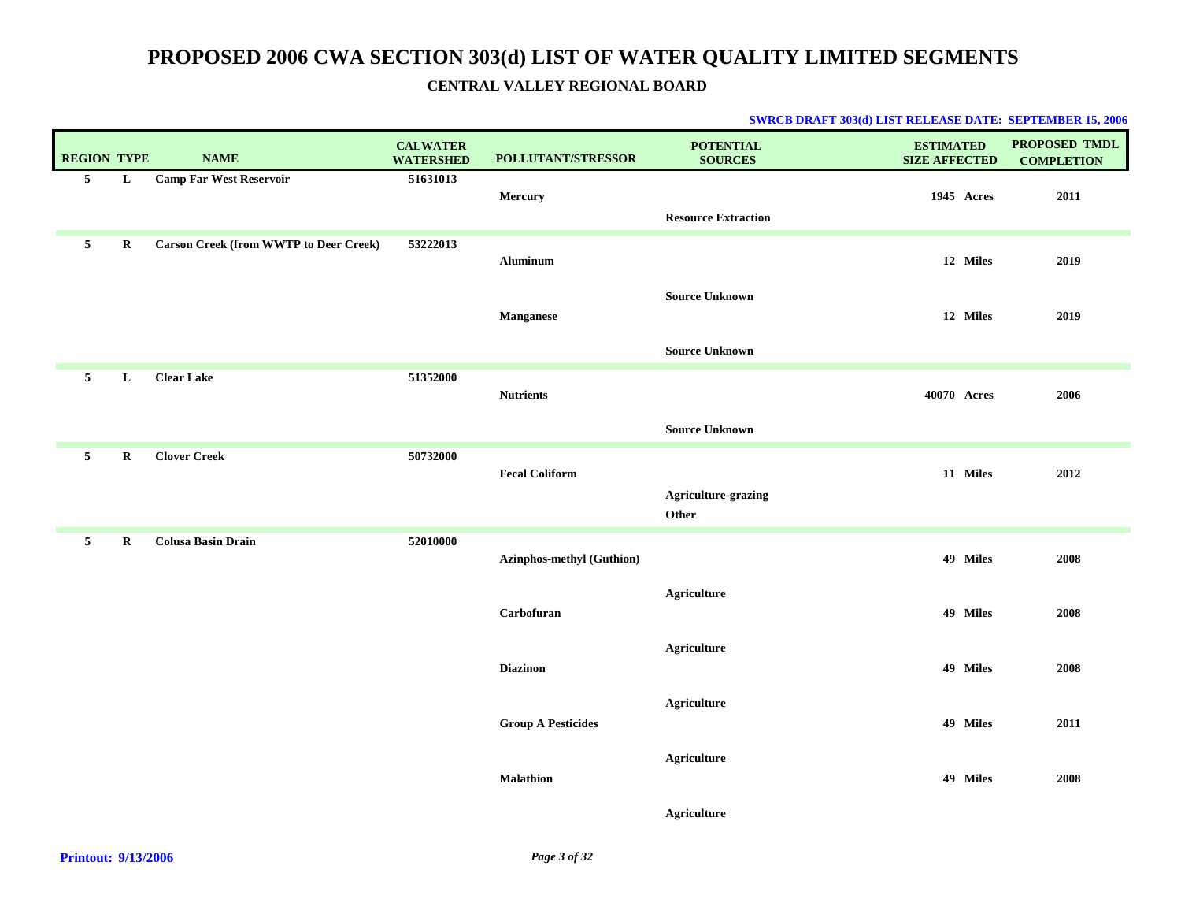| <b>REGION TYPE</b> |             | <b>NAME</b>                                   | <b>CALWATER</b><br><b>WATERSHED</b> | POLLUTANT/STRESSOR               | <b>POTENTIAL</b><br><b>SOURCES</b> | <b>ESTIMATED</b><br><b>SIZE AFFECTED</b> | PROPOSED TMDL<br><b>COMPLETION</b> |
|--------------------|-------------|-----------------------------------------------|-------------------------------------|----------------------------------|------------------------------------|------------------------------------------|------------------------------------|
| 5 <sup>5</sup>     | L           | <b>Camp Far West Reservoir</b>                | 51631013                            | Mercury                          | <b>Resource Extraction</b>         | 1945 Acres                               | 2011                               |
| $\mathbf{5}$       | $\mathbf R$ | <b>Carson Creek (from WWTP to Deer Creek)</b> | 53222013                            | Aluminum                         |                                    | 12 Miles                                 | 2019                               |
|                    |             |                                               |                                     | <b>Manganese</b>                 | <b>Source Unknown</b>              | 12 Miles                                 | 2019                               |
|                    |             |                                               |                                     |                                  | <b>Source Unknown</b>              |                                          |                                    |
| $5\overline{ }$    | L           | <b>Clear Lake</b>                             | 51352000                            | <b>Nutrients</b>                 |                                    | 40070 Acres                              | 2006                               |
|                    |             |                                               |                                     |                                  | <b>Source Unknown</b>              |                                          |                                    |
| 5 <sub>5</sub>     | R           | <b>Clover Creek</b>                           | 50732000                            | <b>Fecal Coliform</b>            |                                    | 11 Miles                                 | 2012                               |
|                    |             |                                               |                                     |                                  | Agriculture-grazing<br>Other       |                                          |                                    |
| 5 <sub>5</sub>     | $\mathbf R$ | <b>Colusa Basin Drain</b>                     | 52010000                            | <b>Azinphos-methyl (Guthion)</b> |                                    | 49 Miles                                 | 2008                               |
|                    |             |                                               |                                     | Carbofuran                       | <b>Agriculture</b>                 | 49 Miles                                 | 2008                               |
|                    |             |                                               |                                     | <b>Diazinon</b>                  | <b>Agriculture</b>                 | 49 Miles                                 | 2008                               |
|                    |             |                                               |                                     | <b>Group A Pesticides</b>        | <b>Agriculture</b>                 | 49 Miles                                 | 2011                               |
|                    |             |                                               |                                     | <b>Malathion</b>                 | <b>Agriculture</b>                 | 49 Miles                                 | 2008                               |
|                    |             |                                               |                                     |                                  | Agriculture                        |                                          |                                    |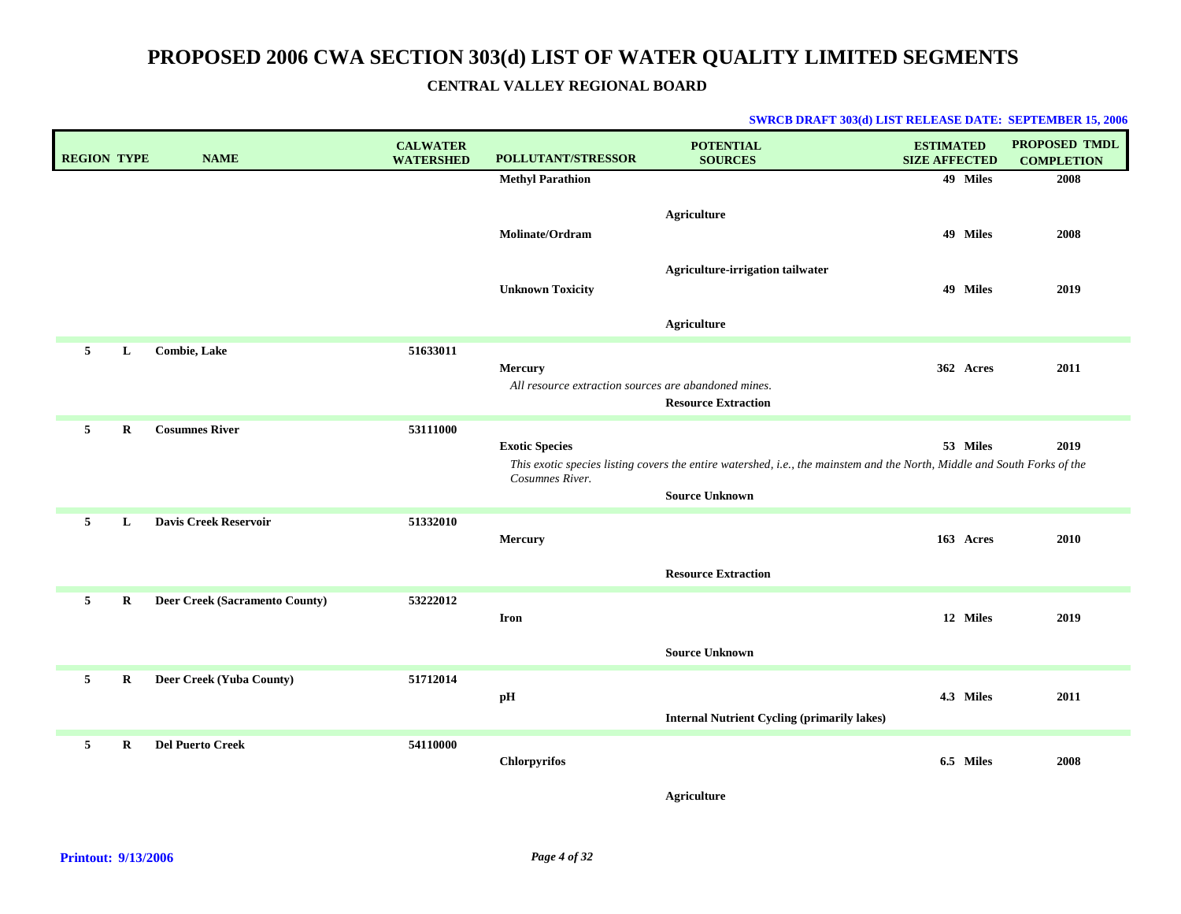| <b>REGION TYPE</b> | <b>NAME</b>                    | <b>CALWATER</b><br><b>WATERSHED</b> | POLLUTANT/STRESSOR                                              | <b>POTENTIAL</b><br><b>SOURCES</b>                                                                                                                | <b>ESTIMATED</b><br><b>SIZE AFFECTED</b> | <b>PROPOSED TMDL</b><br><b>COMPLETION</b> |
|--------------------|--------------------------------|-------------------------------------|-----------------------------------------------------------------|---------------------------------------------------------------------------------------------------------------------------------------------------|------------------------------------------|-------------------------------------------|
|                    |                                |                                     | <b>Methyl Parathion</b>                                         |                                                                                                                                                   | 49 Miles                                 | 2008                                      |
|                    |                                |                                     | Molinate/Ordram                                                 | <b>Agriculture</b>                                                                                                                                | 49 Miles                                 | 2008                                      |
|                    |                                |                                     | <b>Unknown Toxicity</b>                                         | Agriculture-irrigation tailwater                                                                                                                  | 49 Miles                                 | 2019                                      |
|                    |                                |                                     |                                                                 | Agriculture                                                                                                                                       |                                          |                                           |
| 5<br>L             | <b>Combie, Lake</b>            | 51633011                            | Mercury<br>All resource extraction sources are abandoned mines. | <b>Resource Extraction</b>                                                                                                                        | 362 Acres                                | 2011                                      |
| 5<br>$\bf R$       | <b>Cosumnes River</b>          | 53111000                            | <b>Exotic Species</b><br>Cosumnes River.                        | This exotic species listing covers the entire watershed, i.e., the mainstem and the North, Middle and South Forks of the<br><b>Source Unknown</b> | 53 Miles                                 | 2019                                      |
| 5<br>L             | <b>Davis Creek Reservoir</b>   | 51332010                            | Mercury                                                         | <b>Resource Extraction</b>                                                                                                                        | 163 Acres                                | 2010                                      |
| 5<br>$\mathbf R$   | Deer Creek (Sacramento County) | 53222012                            | Iron                                                            | <b>Source Unknown</b>                                                                                                                             | 12 Miles                                 | 2019                                      |
| 5<br>R             | Deer Creek (Yuba County)       | 51712014                            | pH                                                              | <b>Internal Nutrient Cycling (primarily lakes)</b>                                                                                                | 4.3 Miles                                | 2011                                      |
| 5<br>$\bf R$       | <b>Del Puerto Creek</b>        | 54110000                            | <b>Chlorpyrifos</b>                                             |                                                                                                                                                   | 6.5 Miles                                | 2008                                      |
|                    |                                |                                     |                                                                 | Agriculture                                                                                                                                       |                                          |                                           |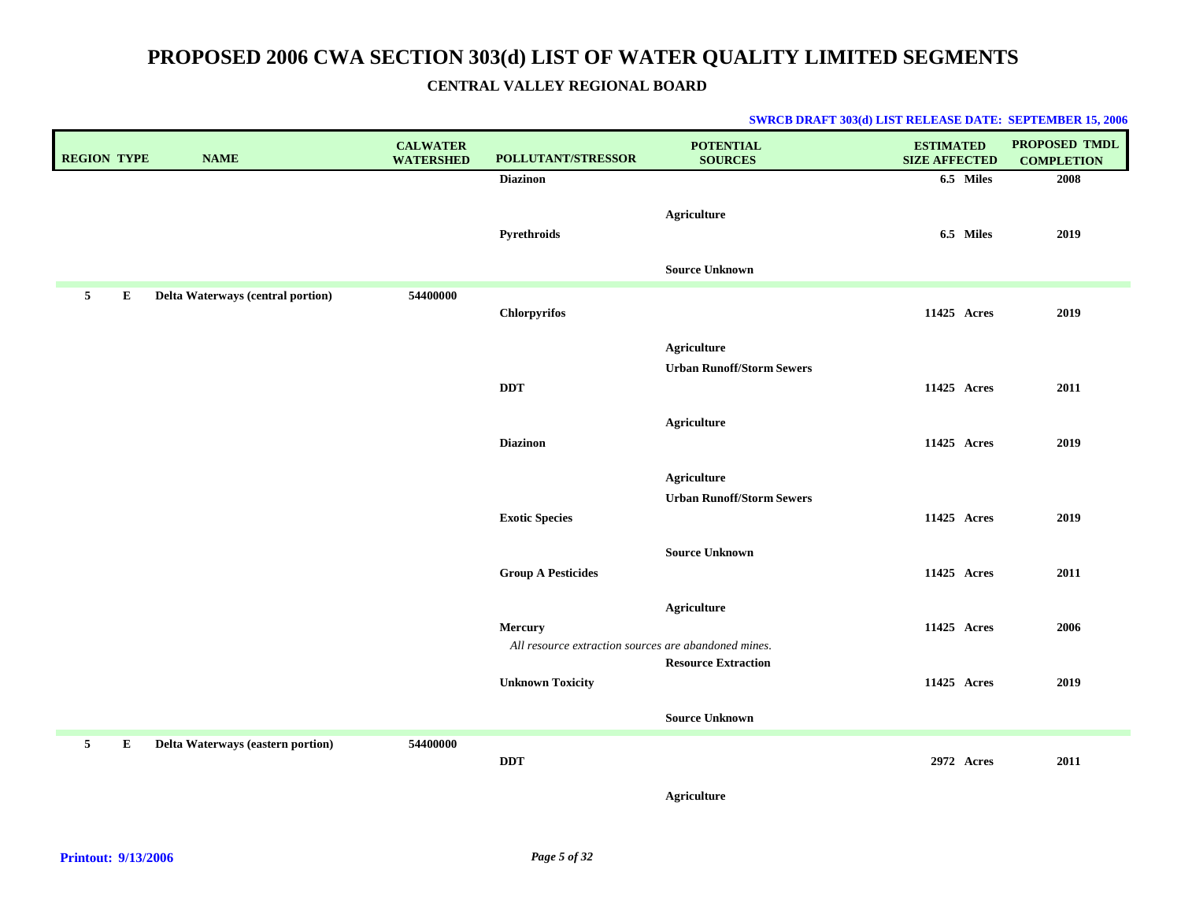| <b>REGION TYPE</b> |   | <b>NAME</b>                       | <b>CALWATER</b><br><b>WATERSHED</b> | <b>POLLUTANT/STRESSOR</b>                            | <b>POTENTIAL</b><br><b>SOURCES</b>                     | <b>ESTIMATED</b><br><b>SIZE AFFECTED</b> | PROPOSED TMDL<br><b>COMPLETION</b> |
|--------------------|---|-----------------------------------|-------------------------------------|------------------------------------------------------|--------------------------------------------------------|------------------------------------------|------------------------------------|
|                    |   |                                   |                                     | <b>Diazinon</b>                                      |                                                        | 6.5 Miles                                | 2008                               |
|                    |   |                                   |                                     | Pyrethroids                                          | <b>Agriculture</b>                                     | 6.5 Miles                                | 2019                               |
|                    |   |                                   |                                     |                                                      | <b>Source Unknown</b>                                  |                                          |                                    |
| 5                  | E | Delta Waterways (central portion) | 54400000                            | <b>Chlorpyrifos</b>                                  |                                                        | 11425 Acres                              | 2019                               |
|                    |   |                                   |                                     |                                                      | <b>Agriculture</b><br><b>Urban Runoff/Storm Sewers</b> |                                          |                                    |
|                    |   |                                   |                                     | <b>DDT</b>                                           |                                                        | 11425 Acres                              | 2011                               |
|                    |   |                                   |                                     | <b>Diazinon</b>                                      | Agriculture                                            | 11425 Acres                              | 2019                               |
|                    |   |                                   |                                     |                                                      |                                                        |                                          |                                    |
|                    |   |                                   |                                     |                                                      | <b>Agriculture</b>                                     |                                          |                                    |
|                    |   |                                   |                                     |                                                      | <b>Urban Runoff/Storm Sewers</b>                       |                                          |                                    |
|                    |   |                                   |                                     | <b>Exotic Species</b>                                |                                                        | 11425 Acres                              | 2019                               |
|                    |   |                                   |                                     |                                                      | <b>Source Unknown</b>                                  |                                          |                                    |
|                    |   |                                   |                                     | <b>Group A Pesticides</b>                            |                                                        | 11425 Acres                              | 2011                               |
|                    |   |                                   |                                     |                                                      | <b>Agriculture</b>                                     |                                          |                                    |
|                    |   |                                   |                                     | <b>Mercury</b>                                       |                                                        | 11425 Acres                              | 2006                               |
|                    |   |                                   |                                     | All resource extraction sources are abandoned mines. |                                                        |                                          |                                    |
|                    |   |                                   |                                     | <b>Unknown Toxicity</b>                              | <b>Resource Extraction</b>                             | 11425 Acres                              | 2019                               |
|                    |   |                                   |                                     |                                                      |                                                        |                                          |                                    |
|                    |   |                                   |                                     |                                                      | <b>Source Unknown</b>                                  |                                          |                                    |
| 5                  | E | Delta Waterways (eastern portion) | 54400000                            | <b>DDT</b>                                           |                                                        | 2972 Acres                               | 2011                               |
|                    |   |                                   |                                     |                                                      | <b>Agriculture</b>                                     |                                          |                                    |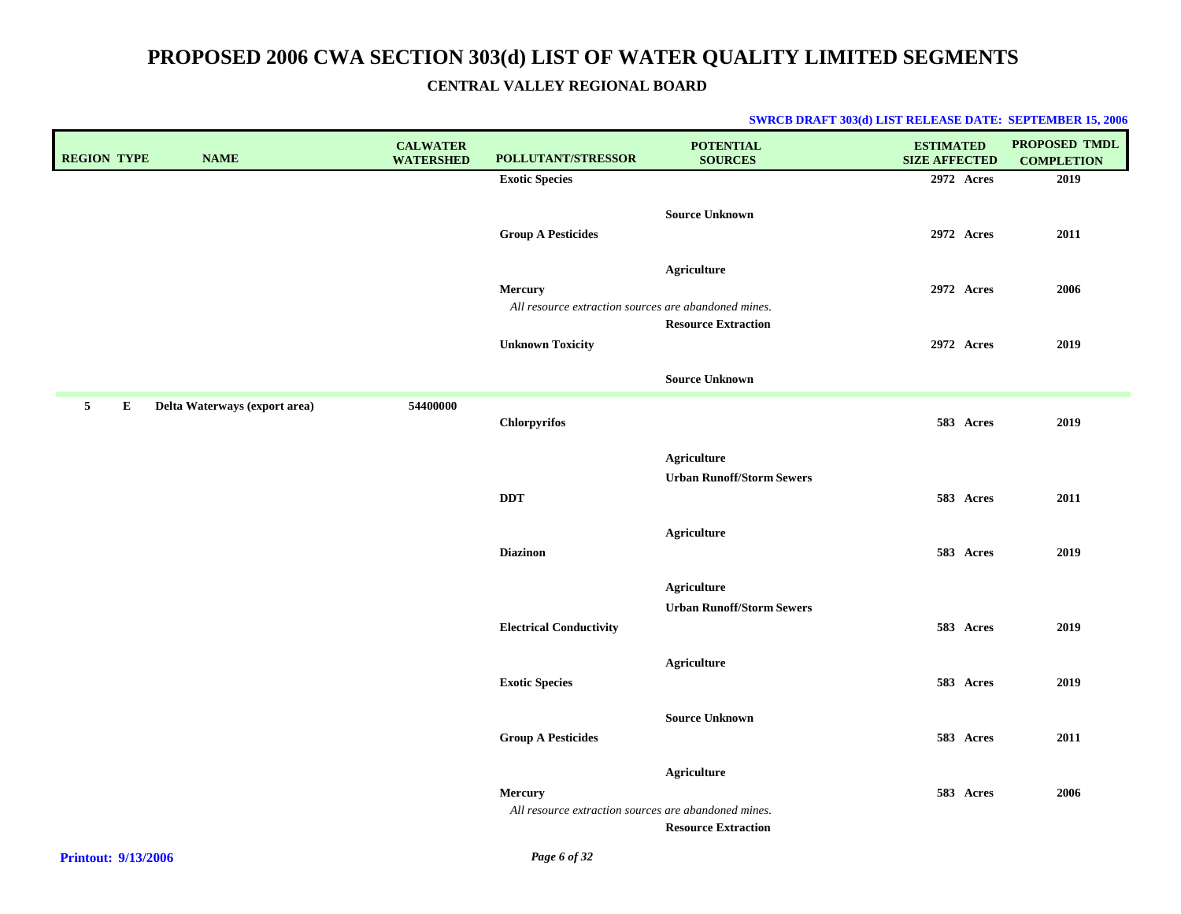| <b>REGION TYPE</b> |   | <b>NAME</b>                   | <b>CALWATER</b><br><b>WATERSHED</b> | POLLUTANT/STRESSOR                                                     | <b>POTENTIAL</b><br><b>SOURCES</b> | <b>ESTIMATED</b><br><b>SIZE AFFECTED</b> | <b>PROPOSED TMDL</b><br><b>COMPLETION</b> |
|--------------------|---|-------------------------------|-------------------------------------|------------------------------------------------------------------------|------------------------------------|------------------------------------------|-------------------------------------------|
|                    |   |                               |                                     | <b>Exotic Species</b>                                                  |                                    | 2972 Acres                               | 2019                                      |
|                    |   |                               |                                     | <b>Group A Pesticides</b>                                              | <b>Source Unknown</b>              | 2972 Acres                               | 2011                                      |
|                    |   |                               |                                     | <b>Mercury</b><br>All resource extraction sources are abandoned mines. | <b>Agriculture</b>                 | 2972 Acres                               | 2006                                      |
|                    |   |                               |                                     | <b>Unknown Toxicity</b>                                                | <b>Resource Extraction</b>         | 2972 Acres                               | 2019                                      |
|                    |   |                               |                                     |                                                                        | <b>Source Unknown</b>              |                                          |                                           |
| $5^{\circ}$        | Е | Delta Waterways (export area) | 54400000                            | Chlorpyrifos                                                           |                                    | 583 Acres                                | 2019                                      |
|                    |   |                               |                                     |                                                                        | <b>Agriculture</b>                 |                                          |                                           |
|                    |   |                               |                                     |                                                                        | <b>Urban Runoff/Storm Sewers</b>   |                                          |                                           |
|                    |   |                               |                                     | DDT                                                                    |                                    | 583 Acres                                | 2011                                      |
|                    |   |                               |                                     | <b>Diazinon</b>                                                        | <b>Agriculture</b>                 | 583 Acres                                | 2019                                      |
|                    |   |                               |                                     |                                                                        | <b>Agriculture</b>                 |                                          |                                           |
|                    |   |                               |                                     |                                                                        | <b>Urban Runoff/Storm Sewers</b>   |                                          |                                           |
|                    |   |                               |                                     | <b>Electrical Conductivity</b>                                         |                                    | 583 Acres                                | 2019                                      |
|                    |   |                               |                                     | <b>Exotic Species</b>                                                  | <b>Agriculture</b>                 | 583 Acres                                | 2019                                      |
|                    |   |                               |                                     | <b>Group A Pesticides</b>                                              | <b>Source Unknown</b>              | 583 Acres                                | 2011                                      |
|                    |   |                               |                                     |                                                                        |                                    |                                          |                                           |
|                    |   |                               |                                     | Mercury                                                                | <b>Agriculture</b>                 | 583 Acres                                | 2006                                      |
|                    |   |                               |                                     | All resource extraction sources are abandoned mines.                   | <b>Resource Extraction</b>         |                                          |                                           |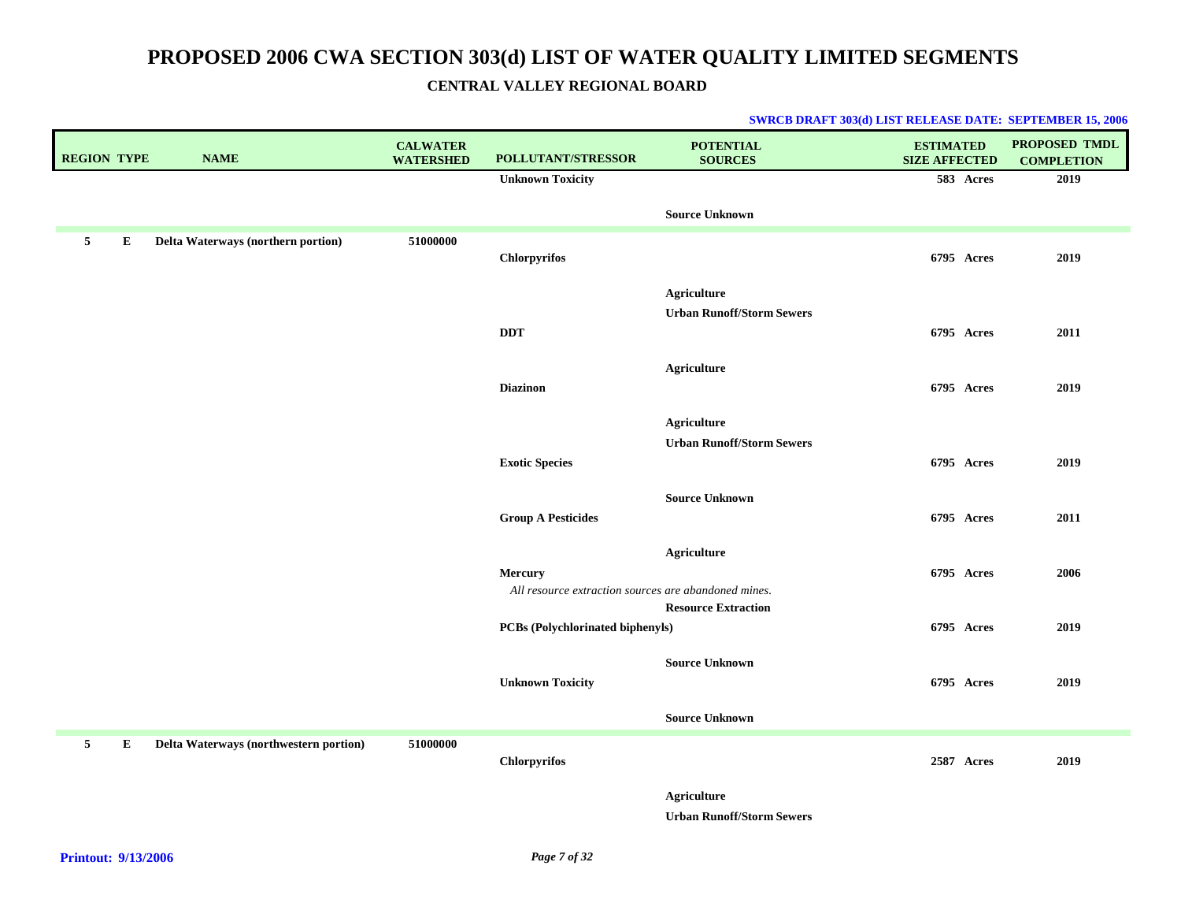| <b>REGION TYPE</b> |   | <b>NAME</b>                            | <b>CALWATER</b><br><b>WATERSHED</b> | POLLUTANT/STRESSOR                                   | <b>POTENTIAL</b><br><b>SOURCES</b>                     | <b>ESTIMATED</b><br><b>SIZE AFFECTED</b> | PROPOSED TMDL<br><b>COMPLETION</b> |
|--------------------|---|----------------------------------------|-------------------------------------|------------------------------------------------------|--------------------------------------------------------|------------------------------------------|------------------------------------|
|                    |   |                                        |                                     | <b>Unknown Toxicity</b>                              |                                                        | 583 Acres                                | 2019                               |
|                    |   |                                        |                                     |                                                      | <b>Source Unknown</b>                                  |                                          |                                    |
| 5                  | E | Delta Waterways (northern portion)     | 51000000                            | <b>Chlorpyrifos</b>                                  |                                                        | 6795 Acres                               | 2019                               |
|                    |   |                                        |                                     |                                                      |                                                        |                                          |                                    |
|                    |   |                                        |                                     |                                                      | <b>Agriculture</b><br><b>Urban Runoff/Storm Sewers</b> |                                          |                                    |
|                    |   |                                        |                                     | <b>DDT</b>                                           |                                                        | 6795 Acres                               | 2011                               |
|                    |   |                                        |                                     |                                                      |                                                        |                                          |                                    |
|                    |   |                                        |                                     | <b>Diazinon</b>                                      | <b>Agriculture</b>                                     | 6795 Acres                               | 2019                               |
|                    |   |                                        |                                     |                                                      |                                                        |                                          |                                    |
|                    |   |                                        |                                     |                                                      | <b>Agriculture</b>                                     |                                          |                                    |
|                    |   |                                        |                                     | <b>Exotic Species</b>                                | <b>Urban Runoff/Storm Sewers</b>                       | 6795 Acres                               | 2019                               |
|                    |   |                                        |                                     |                                                      |                                                        |                                          |                                    |
|                    |   |                                        |                                     |                                                      | <b>Source Unknown</b>                                  |                                          |                                    |
|                    |   |                                        |                                     | <b>Group A Pesticides</b>                            |                                                        | 6795 Acres                               | 2011                               |
|                    |   |                                        |                                     |                                                      | <b>Agriculture</b>                                     |                                          |                                    |
|                    |   |                                        |                                     | <b>Mercury</b>                                       |                                                        | 6795 Acres                               | 2006                               |
|                    |   |                                        |                                     | All resource extraction sources are abandoned mines. | <b>Resource Extraction</b>                             |                                          |                                    |
|                    |   |                                        |                                     | PCBs (Polychlorinated biphenyls)                     |                                                        | 6795 Acres                               | 2019                               |
|                    |   |                                        |                                     |                                                      |                                                        |                                          |                                    |
|                    |   |                                        |                                     | <b>Unknown Toxicity</b>                              | <b>Source Unknown</b>                                  | 6795 Acres                               | 2019                               |
|                    |   |                                        |                                     |                                                      |                                                        |                                          |                                    |
|                    |   |                                        |                                     |                                                      | <b>Source Unknown</b>                                  |                                          |                                    |
| 5                  | E | Delta Waterways (northwestern portion) | 51000000                            | Chlorpyrifos                                         |                                                        | 2587 Acres                               | 2019                               |
|                    |   |                                        |                                     |                                                      | <b>Agriculture</b>                                     |                                          |                                    |
|                    |   |                                        |                                     |                                                      | <b>Urban Runoff/Storm Sewers</b>                       |                                          |                                    |
|                    |   |                                        |                                     |                                                      |                                                        |                                          |                                    |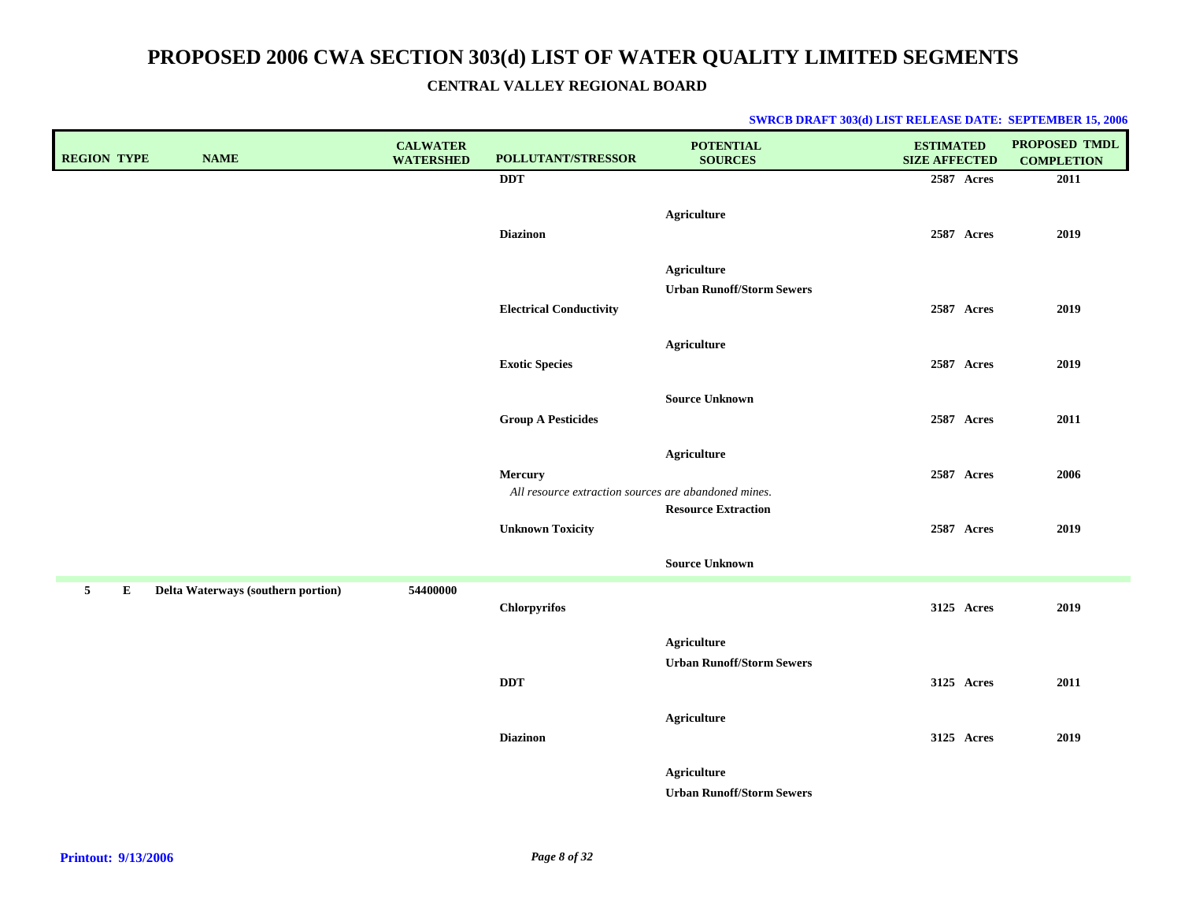| <b>REGION TYPE</b> | <b>NAME</b>                        | <b>CALWATER</b><br><b>WATERSHED</b> | POLLUTANT/STRESSOR                                              | <b>POTENTIAL</b><br><b>SOURCES</b>              | <b>ESTIMATED</b><br><b>SIZE AFFECTED</b> | PROPOSED TMDL<br><b>COMPLETION</b> |
|--------------------|------------------------------------|-------------------------------------|-----------------------------------------------------------------|-------------------------------------------------|------------------------------------------|------------------------------------|
|                    |                                    |                                     | <b>DDT</b>                                                      |                                                 | 2587 Acres                               | 2011                               |
|                    |                                    |                                     | <b>Diazinon</b>                                                 | <b>Agriculture</b>                              | 2587 Acres                               | 2019                               |
|                    |                                    |                                     | <b>Electrical Conductivity</b>                                  | Agriculture<br><b>Urban Runoff/Storm Sewers</b> | 2587 Acres                               | 2019                               |
|                    |                                    |                                     | <b>Exotic Species</b>                                           | <b>Agriculture</b>                              | 2587 Acres                               | 2019                               |
|                    |                                    |                                     | <b>Group A Pesticides</b>                                       | <b>Source Unknown</b>                           | 2587 Acres                               | 2011                               |
|                    |                                    |                                     | Mercury<br>All resource extraction sources are abandoned mines. | <b>Agriculture</b>                              | 2587 Acres                               | 2006                               |
|                    |                                    |                                     | <b>Unknown Toxicity</b>                                         | <b>Resource Extraction</b>                      | 2587 Acres                               | 2019                               |
|                    |                                    |                                     |                                                                 | <b>Source Unknown</b>                           |                                          |                                    |
| 5<br>E             | Delta Waterways (southern portion) | 54400000                            | <b>Chlorpyrifos</b>                                             |                                                 | 3125 Acres                               | 2019                               |
|                    |                                    |                                     | <b>DDT</b>                                                      | Agriculture<br><b>Urban Runoff/Storm Sewers</b> | 3125 Acres                               | 2011                               |
|                    |                                    |                                     | <b>Diazinon</b>                                                 | <b>Agriculture</b>                              | 3125 Acres                               | 2019                               |
|                    |                                    |                                     |                                                                 | Agriculture<br><b>Urban Runoff/Storm Sewers</b> |                                          |                                    |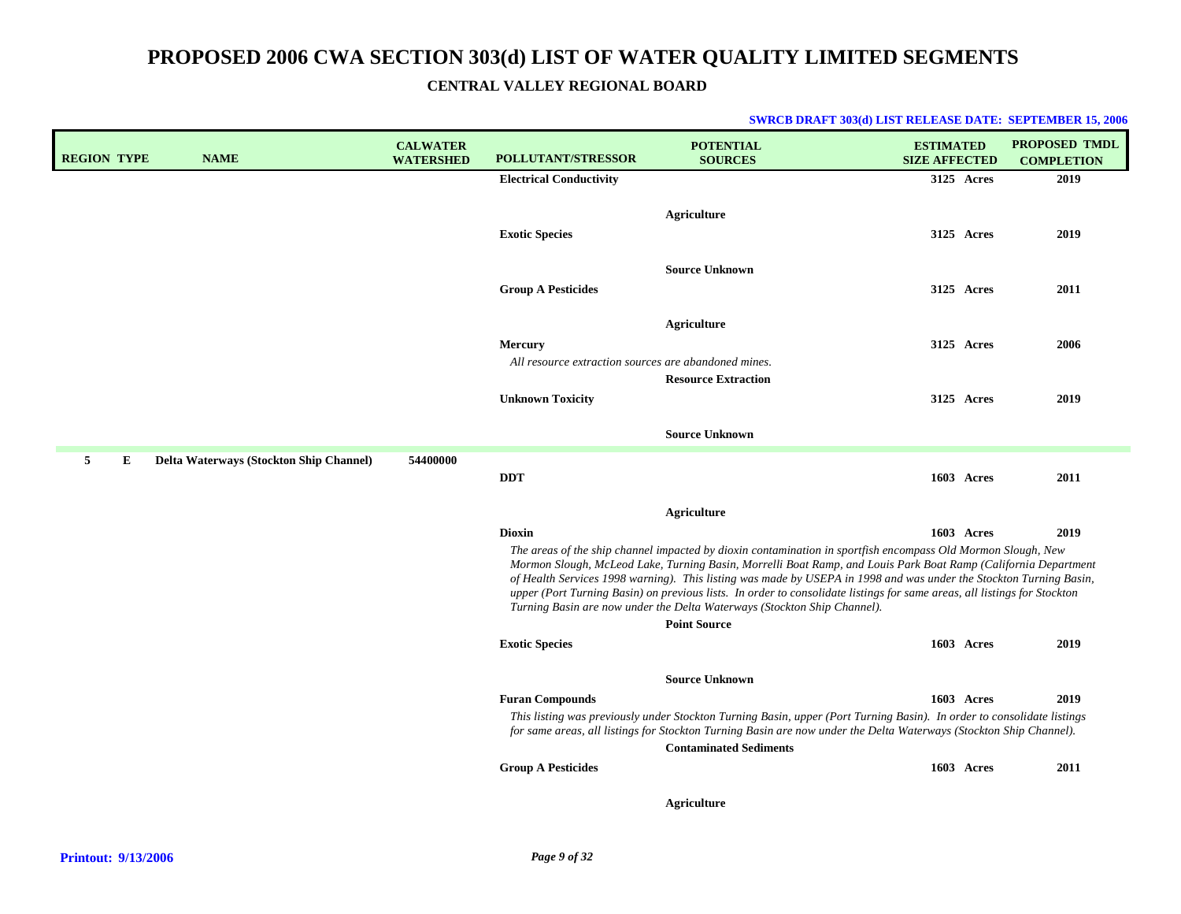|  | <b>SWRCB DRAFT 303(d) LIST RELEASE DATE: SEPTEMBER 15, 2006</b> |  |  |
|--|-----------------------------------------------------------------|--|--|
|--|-----------------------------------------------------------------|--|--|

| <b>REGION TYPE</b> |   | <b>NAME</b>                             | <b>CALWATER</b><br><b>WATERSHED</b> | <b>POLLUTANT/STRESSOR</b>                                              | <b>POTENTIAL</b><br><b>SOURCES</b>                                                                                                                                                                                                                                                                                                                                                                                                                                                                                                                                                  | <b>ESTIMATED</b><br><b>SIZE AFFECTED</b> |            | <b>PROPOSED TMDL</b><br><b>COMPLETION</b> |
|--------------------|---|-----------------------------------------|-------------------------------------|------------------------------------------------------------------------|-------------------------------------------------------------------------------------------------------------------------------------------------------------------------------------------------------------------------------------------------------------------------------------------------------------------------------------------------------------------------------------------------------------------------------------------------------------------------------------------------------------------------------------------------------------------------------------|------------------------------------------|------------|-------------------------------------------|
|                    |   |                                         |                                     | <b>Electrical Conductivity</b>                                         |                                                                                                                                                                                                                                                                                                                                                                                                                                                                                                                                                                                     |                                          | 3125 Acres | 2019                                      |
|                    |   |                                         |                                     | <b>Exotic Species</b>                                                  | Agriculture                                                                                                                                                                                                                                                                                                                                                                                                                                                                                                                                                                         |                                          | 3125 Acres | 2019                                      |
|                    |   |                                         |                                     | <b>Group A Pesticides</b>                                              | <b>Source Unknown</b>                                                                                                                                                                                                                                                                                                                                                                                                                                                                                                                                                               |                                          | 3125 Acres | 2011                                      |
|                    |   |                                         |                                     | <b>Mercury</b><br>All resource extraction sources are abandoned mines. | <b>Agriculture</b><br><b>Resource Extraction</b>                                                                                                                                                                                                                                                                                                                                                                                                                                                                                                                                    |                                          | 3125 Acres | 2006                                      |
|                    |   |                                         |                                     | <b>Unknown Toxicity</b>                                                |                                                                                                                                                                                                                                                                                                                                                                                                                                                                                                                                                                                     |                                          | 3125 Acres | 2019                                      |
|                    |   |                                         |                                     |                                                                        | <b>Source Unknown</b>                                                                                                                                                                                                                                                                                                                                                                                                                                                                                                                                                               |                                          |            |                                           |
| 5                  | Е | Delta Waterways (Stockton Ship Channel) | 54400000                            | <b>DDT</b>                                                             |                                                                                                                                                                                                                                                                                                                                                                                                                                                                                                                                                                                     |                                          | 1603 Acres | 2011                                      |
|                    |   |                                         |                                     |                                                                        | <b>Agriculture</b>                                                                                                                                                                                                                                                                                                                                                                                                                                                                                                                                                                  |                                          |            |                                           |
|                    |   |                                         |                                     | <b>Dioxin</b>                                                          |                                                                                                                                                                                                                                                                                                                                                                                                                                                                                                                                                                                     |                                          | 1603 Acres | 2019                                      |
|                    |   |                                         |                                     |                                                                        | The areas of the ship channel impacted by dioxin contamination in sportfish encompass Old Mormon Slough, New<br>Mormon Slough, McLeod Lake, Turning Basin, Morrelli Boat Ramp, and Louis Park Boat Ramp (California Department<br>of Health Services 1998 warning). This listing was made by USEPA in 1998 and was under the Stockton Turning Basin,<br>upper (Port Turning Basin) on previous lists. In order to consolidate listings for same areas, all listings for Stockton<br>Turning Basin are now under the Delta Waterways (Stockton Ship Channel).<br><b>Point Source</b> |                                          |            |                                           |
|                    |   |                                         |                                     | <b>Exotic Species</b>                                                  |                                                                                                                                                                                                                                                                                                                                                                                                                                                                                                                                                                                     |                                          | 1603 Acres | 2019                                      |
|                    |   |                                         |                                     |                                                                        | <b>Source Unknown</b>                                                                                                                                                                                                                                                                                                                                                                                                                                                                                                                                                               |                                          |            |                                           |
|                    |   |                                         |                                     | <b>Furan Compounds</b>                                                 |                                                                                                                                                                                                                                                                                                                                                                                                                                                                                                                                                                                     |                                          | 1603 Acres | 2019                                      |
|                    |   |                                         |                                     |                                                                        | This listing was previously under Stockton Turning Basin, upper (Port Turning Basin). In order to consolidate listings<br>for same areas, all listings for Stockton Turning Basin are now under the Delta Waterways (Stockton Ship Channel).<br><b>Contaminated Sediments</b>                                                                                                                                                                                                                                                                                                       |                                          |            |                                           |
|                    |   |                                         |                                     | <b>Group A Pesticides</b>                                              |                                                                                                                                                                                                                                                                                                                                                                                                                                                                                                                                                                                     |                                          | 1603 Acres | 2011                                      |
|                    |   |                                         |                                     |                                                                        | <b>Agriculture</b>                                                                                                                                                                                                                                                                                                                                                                                                                                                                                                                                                                  |                                          |            |                                           |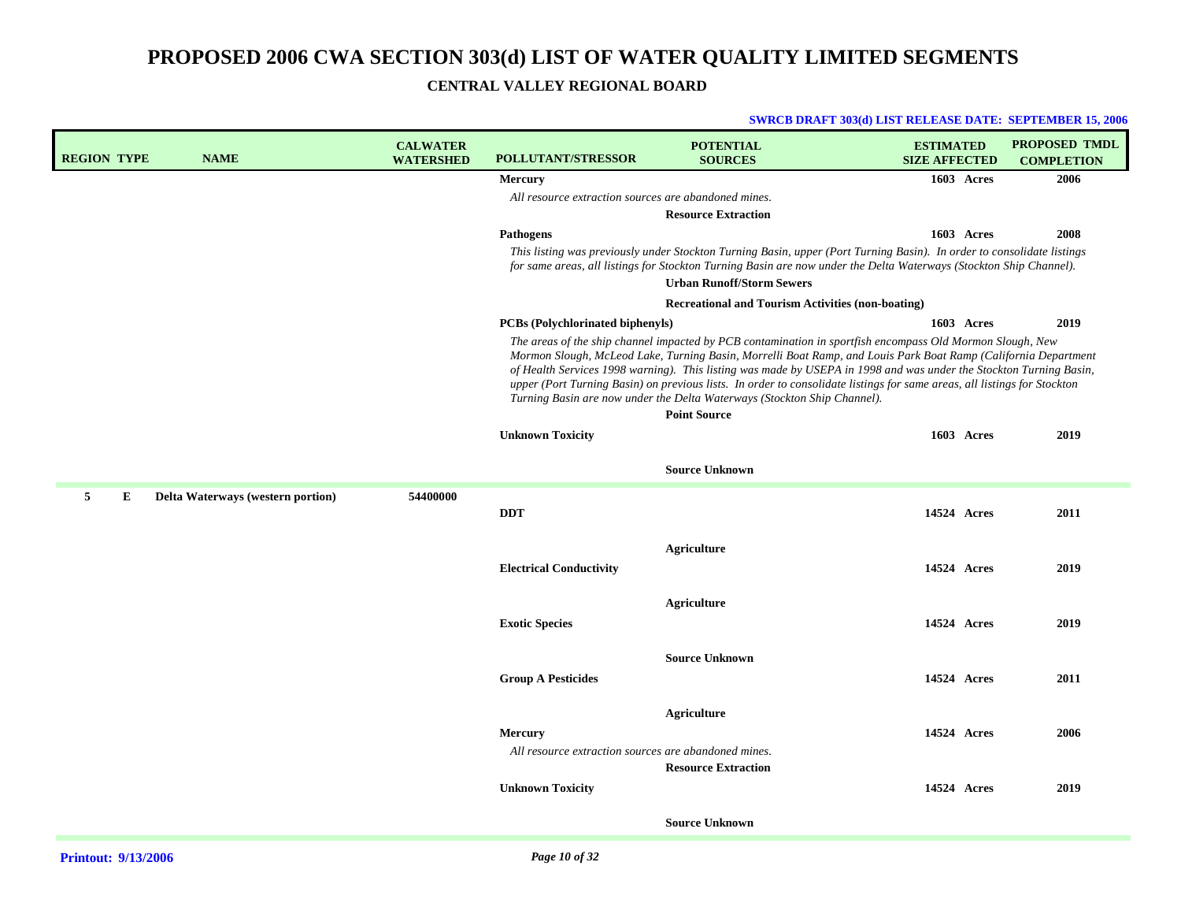| <b>REGION TYPE</b> |   | <b>NAME</b>                       | <b>CALWATER</b><br><b>WATERSHED</b> | <b>POLLUTANT/STRESSOR</b>                            | <b>POTENTIAL</b><br><b>SOURCES</b>                                                                                                                                                                                                                                                                                                                                                                                                                                                                                                                                               | <b>ESTIMATED</b><br><b>SIZE AFFECTED</b> | <b>PROPOSED TMDL</b><br><b>COMPLETION</b> |
|--------------------|---|-----------------------------------|-------------------------------------|------------------------------------------------------|----------------------------------------------------------------------------------------------------------------------------------------------------------------------------------------------------------------------------------------------------------------------------------------------------------------------------------------------------------------------------------------------------------------------------------------------------------------------------------------------------------------------------------------------------------------------------------|------------------------------------------|-------------------------------------------|
|                    |   |                                   |                                     | <b>Mercury</b>                                       |                                                                                                                                                                                                                                                                                                                                                                                                                                                                                                                                                                                  | 1603 Acres                               | 2006                                      |
|                    |   |                                   |                                     | All resource extraction sources are abandoned mines. |                                                                                                                                                                                                                                                                                                                                                                                                                                                                                                                                                                                  |                                          |                                           |
|                    |   |                                   |                                     | <b>Pathogens</b>                                     | <b>Resource Extraction</b>                                                                                                                                                                                                                                                                                                                                                                                                                                                                                                                                                       | 1603 Acres                               | 2008                                      |
|                    |   |                                   |                                     |                                                      | This listing was previously under Stockton Turning Basin, upper (Port Turning Basin). In order to consolidate listings                                                                                                                                                                                                                                                                                                                                                                                                                                                           |                                          |                                           |
|                    |   |                                   |                                     |                                                      | for same areas, all listings for Stockton Turning Basin are now under the Delta Waterways (Stockton Ship Channel).<br><b>Urban Runoff/Storm Sewers</b>                                                                                                                                                                                                                                                                                                                                                                                                                           |                                          |                                           |
|                    |   |                                   |                                     |                                                      | <b>Recreational and Tourism Activities (non-boating)</b>                                                                                                                                                                                                                                                                                                                                                                                                                                                                                                                         |                                          |                                           |
|                    |   |                                   |                                     | <b>PCBs</b> (Polychlorinated biphenyls)              |                                                                                                                                                                                                                                                                                                                                                                                                                                                                                                                                                                                  | 1603 Acres                               | 2019                                      |
|                    |   |                                   |                                     |                                                      | The areas of the ship channel impacted by PCB contamination in sportfish encompass Old Mormon Slough, New<br>Mormon Slough, McLeod Lake, Turning Basin, Morrelli Boat Ramp, and Louis Park Boat Ramp (California Department<br>of Health Services 1998 warning). This listing was made by USEPA in 1998 and was under the Stockton Turning Basin,<br>upper (Port Turning Basin) on previous lists. In order to consolidate listings for same areas, all listings for Stockton<br>Turning Basin are now under the Delta Waterways (Stockton Ship Channel).<br><b>Point Source</b> |                                          |                                           |
|                    |   |                                   |                                     | <b>Unknown Toxicity</b>                              |                                                                                                                                                                                                                                                                                                                                                                                                                                                                                                                                                                                  | 1603 Acres                               | 2019                                      |
|                    |   |                                   |                                     |                                                      |                                                                                                                                                                                                                                                                                                                                                                                                                                                                                                                                                                                  |                                          |                                           |
|                    |   |                                   |                                     |                                                      | <b>Source Unknown</b>                                                                                                                                                                                                                                                                                                                                                                                                                                                                                                                                                            |                                          |                                           |
| 5                  | E | Delta Waterways (western portion) | 54400000                            | <b>DDT</b>                                           |                                                                                                                                                                                                                                                                                                                                                                                                                                                                                                                                                                                  | 14524 Acres                              | 2011                                      |
|                    |   |                                   |                                     | <b>Electrical Conductivity</b>                       | Agriculture                                                                                                                                                                                                                                                                                                                                                                                                                                                                                                                                                                      | 14524 Acres                              | 2019                                      |
|                    |   |                                   |                                     |                                                      | Agriculture                                                                                                                                                                                                                                                                                                                                                                                                                                                                                                                                                                      |                                          |                                           |
|                    |   |                                   |                                     | <b>Exotic Species</b>                                |                                                                                                                                                                                                                                                                                                                                                                                                                                                                                                                                                                                  | 14524 Acres                              | 2019                                      |
|                    |   |                                   |                                     |                                                      |                                                                                                                                                                                                                                                                                                                                                                                                                                                                                                                                                                                  |                                          |                                           |
|                    |   |                                   |                                     | <b>Group A Pesticides</b>                            | <b>Source Unknown</b>                                                                                                                                                                                                                                                                                                                                                                                                                                                                                                                                                            | 14524 Acres                              | 2011                                      |
|                    |   |                                   |                                     |                                                      | <b>Agriculture</b>                                                                                                                                                                                                                                                                                                                                                                                                                                                                                                                                                               |                                          |                                           |
|                    |   |                                   |                                     | <b>Mercury</b>                                       |                                                                                                                                                                                                                                                                                                                                                                                                                                                                                                                                                                                  | 14524 Acres                              | 2006                                      |
|                    |   |                                   |                                     | All resource extraction sources are abandoned mines. |                                                                                                                                                                                                                                                                                                                                                                                                                                                                                                                                                                                  |                                          |                                           |
|                    |   |                                   |                                     | <b>Unknown Toxicity</b>                              | <b>Resource Extraction</b>                                                                                                                                                                                                                                                                                                                                                                                                                                                                                                                                                       | 14524 Acres                              | 2019                                      |
|                    |   |                                   |                                     |                                                      | <b>Source Unknown</b>                                                                                                                                                                                                                                                                                                                                                                                                                                                                                                                                                            |                                          |                                           |
|                    |   |                                   |                                     |                                                      |                                                                                                                                                                                                                                                                                                                                                                                                                                                                                                                                                                                  |                                          |                                           |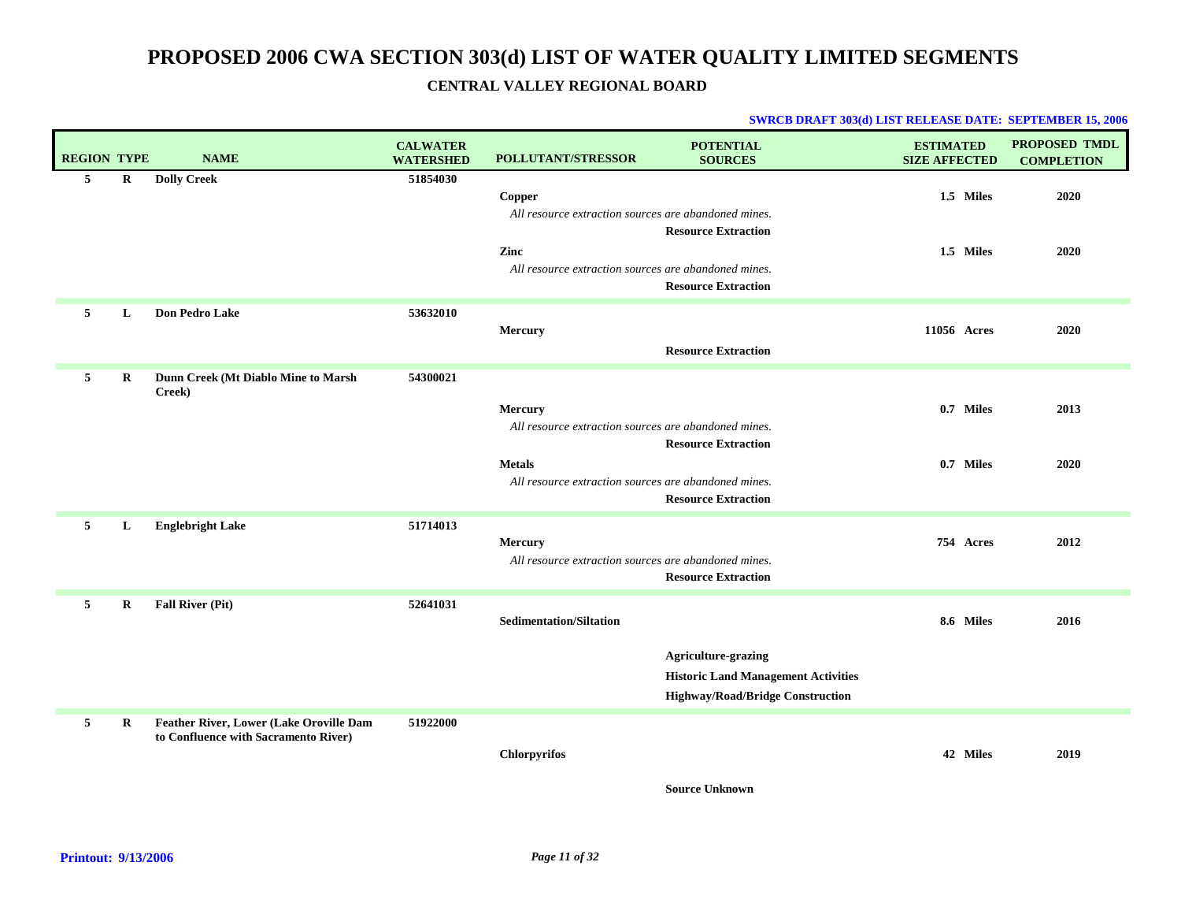#### **SWRCB DRAFT 303(d) LIST RELEASE DATE: SEPTEMBER 15, 2006**

| <b>REGION TYPE</b> |             | <b>NAME</b>                                                                     | <b>CALWATER</b><br><b>WATERSHED</b> | <b>POLLUTANT/STRESSOR</b>                                                                                                                | <b>POTENTIAL</b><br><b>SOURCES</b>                                                                                  | <b>ESTIMATED</b><br><b>SIZE AFFECTED</b> | <b>PROPOSED TMDL</b><br><b>COMPLETION</b> |
|--------------------|-------------|---------------------------------------------------------------------------------|-------------------------------------|------------------------------------------------------------------------------------------------------------------------------------------|---------------------------------------------------------------------------------------------------------------------|------------------------------------------|-------------------------------------------|
| 5                  | $\bf R$     | <b>Dolly Creek</b>                                                              | 51854030                            | Copper<br>All resource extraction sources are abandoned mines.                                                                           |                                                                                                                     | 1.5 Miles                                | 2020                                      |
|                    |             |                                                                                 |                                     | Zinc<br>All resource extraction sources are abandoned mines.                                                                             | <b>Resource Extraction</b><br><b>Resource Extraction</b>                                                            | 1.5 Miles                                | 2020                                      |
| 5                  | L           | <b>Don Pedro Lake</b>                                                           | 53632010                            | Mercury                                                                                                                                  | <b>Resource Extraction</b>                                                                                          | 11056 Acres                              | 2020                                      |
| 5                  | $\mathbf R$ | Dunn Creek (Mt Diablo Mine to Marsh<br>Creek)                                   | 54300021                            | Mercury<br>All resource extraction sources are abandoned mines.<br><b>Metals</b><br>All resource extraction sources are abandoned mines. | <b>Resource Extraction</b><br><b>Resource Extraction</b>                                                            | 0.7 Miles<br>0.7 Miles                   | 2013<br>2020                              |
| 5                  | L           | <b>Englebright Lake</b>                                                         | 51714013                            | Mercury<br>All resource extraction sources are abandoned mines.                                                                          | <b>Resource Extraction</b>                                                                                          | 754 Acres                                | 2012                                      |
| 5                  | R           | <b>Fall River (Pit)</b>                                                         | 52641031                            | <b>Sedimentation/Siltation</b>                                                                                                           | <b>Agriculture-grazing</b><br><b>Historic Land Management Activities</b><br><b>Highway/Road/Bridge Construction</b> | 8.6 Miles                                | 2016                                      |
| 5                  | R           | Feather River, Lower (Lake Oroville Dam<br>to Confluence with Sacramento River) | 51922000                            | Chlorpyrifos                                                                                                                             |                                                                                                                     | 42 Miles                                 | 2019                                      |

**Source Unknown**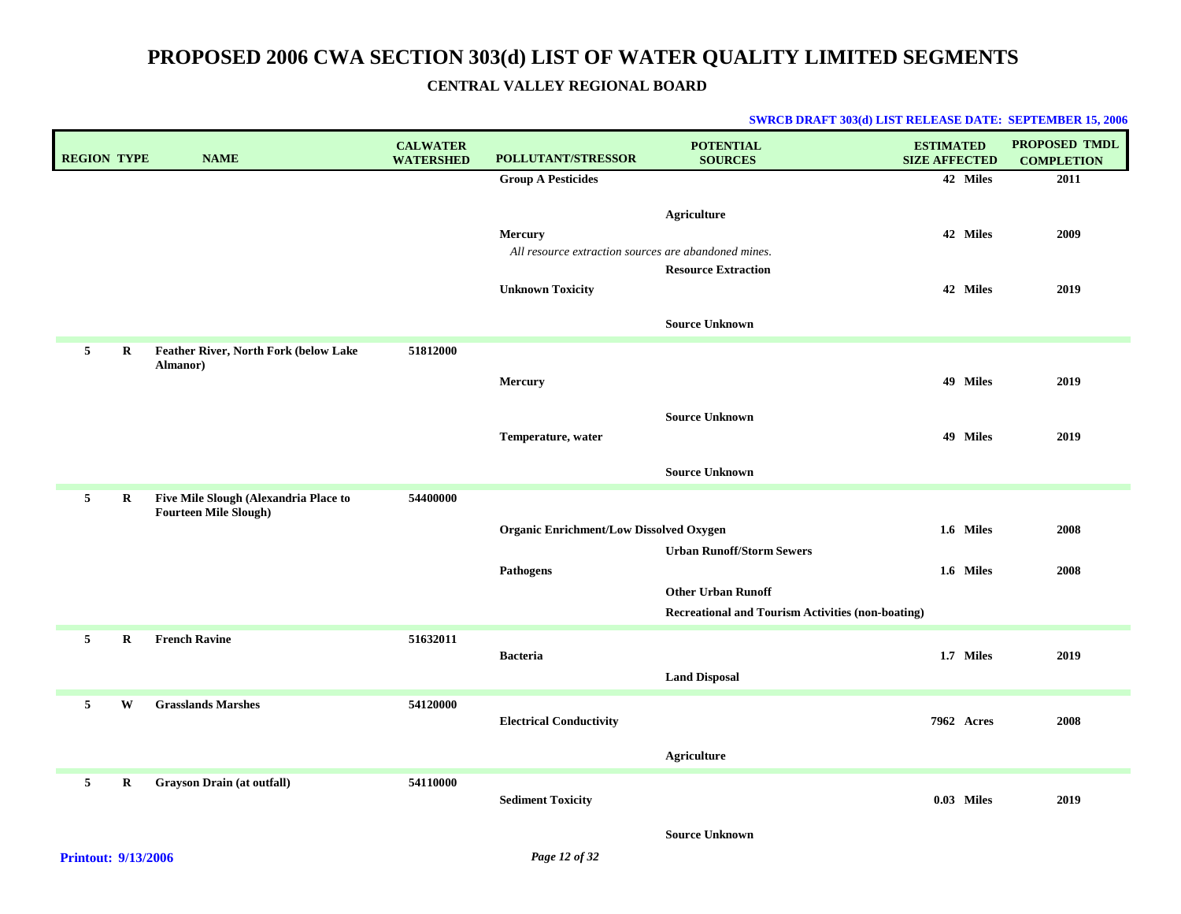| <b>REGION TYPE</b> |             | <b>NAME</b>                                                           | <b>CALWATER</b><br><b>WATERSHED</b> | <b>POLLUTANT/STRESSOR</b>                                       | <b>POTENTIAL</b><br><b>SOURCES</b>                       | <b>ESTIMATED</b><br><b>SIZE AFFECTED</b> | <b>PROPOSED TMDL</b><br><b>COMPLETION</b> |
|--------------------|-------------|-----------------------------------------------------------------------|-------------------------------------|-----------------------------------------------------------------|----------------------------------------------------------|------------------------------------------|-------------------------------------------|
|                    |             |                                                                       |                                     | <b>Group A Pesticides</b>                                       |                                                          | 42 Miles                                 | 2011                                      |
|                    |             |                                                                       |                                     | Mercury<br>All resource extraction sources are abandoned mines. | Agriculture                                              | 42 Miles                                 | 2009                                      |
|                    |             |                                                                       |                                     | <b>Unknown Toxicity</b>                                         | <b>Resource Extraction</b>                               | 42 Miles                                 | 2019                                      |
|                    |             |                                                                       |                                     |                                                                 | <b>Source Unknown</b>                                    |                                          |                                           |
| 5                  | R           | Feather River, North Fork (below Lake                                 | 51812000                            |                                                                 |                                                          |                                          |                                           |
|                    |             | Almanor)                                                              |                                     | Mercury                                                         |                                                          | 49 Miles                                 | 2019                                      |
|                    |             |                                                                       |                                     |                                                                 | <b>Source Unknown</b>                                    |                                          |                                           |
|                    |             |                                                                       |                                     | Temperature, water                                              |                                                          | 49 Miles                                 | 2019                                      |
|                    |             |                                                                       |                                     |                                                                 | <b>Source Unknown</b>                                    |                                          |                                           |
| $5^{\circ}$        | $\bf R$     | Five Mile Slough (Alexandria Place to<br><b>Fourteen Mile Slough)</b> | 54400000                            |                                                                 |                                                          |                                          |                                           |
|                    |             |                                                                       |                                     | <b>Organic Enrichment/Low Dissolved Oxygen</b>                  |                                                          | 1.6 Miles                                | 2008                                      |
|                    |             |                                                                       |                                     |                                                                 | <b>Urban Runoff/Storm Sewers</b>                         |                                          |                                           |
|                    |             |                                                                       |                                     | <b>Pathogens</b>                                                | <b>Other Urban Runoff</b>                                | 1.6 Miles                                | 2008                                      |
|                    |             |                                                                       |                                     |                                                                 | <b>Recreational and Tourism Activities (non-boating)</b> |                                          |                                           |
| 5                  | $\bf R$     | <b>French Ravine</b>                                                  | 51632011                            |                                                                 |                                                          |                                          |                                           |
|                    |             |                                                                       |                                     | <b>Bacteria</b>                                                 | <b>Land Disposal</b>                                     | 1.7 Miles                                | 2019                                      |
| 5                  | W           | <b>Grasslands Marshes</b>                                             | 54120000                            |                                                                 |                                                          |                                          |                                           |
|                    |             |                                                                       |                                     | <b>Electrical Conductivity</b>                                  |                                                          | <b>7962 Acres</b>                        | 2008                                      |
|                    |             |                                                                       |                                     |                                                                 | Agriculture                                              |                                          |                                           |
| 5 <sub>5</sub>     | $\mathbf R$ | <b>Grayson Drain (at outfall)</b>                                     | 54110000                            |                                                                 |                                                          |                                          |                                           |
|                    |             |                                                                       |                                     | <b>Sediment Toxicity</b>                                        |                                                          | 0.03 Miles                               | 2019                                      |
|                    |             |                                                                       |                                     |                                                                 | <b>Source Unknown</b>                                    |                                          |                                           |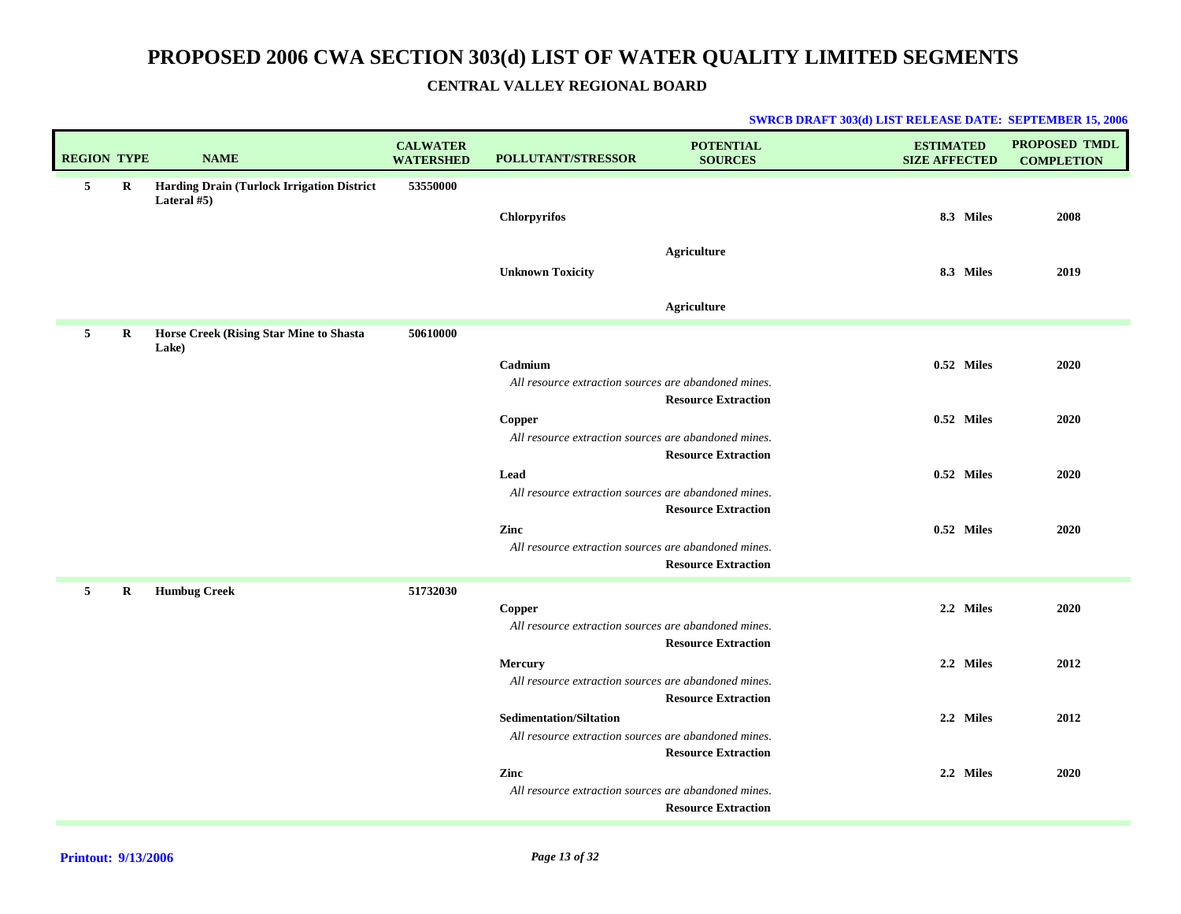| <b>REGION TYPE</b> |             | <b>NAME</b>                                               | <b>CALWATER</b><br><b>WATERSHED</b> | <b>POLLUTANT/STRESSOR</b>                                                              | <b>POTENTIAL</b><br><b>SOURCES</b>                       | <b>ESTIMATED</b><br><b>SIZE AFFECTED</b> | <b>PROPOSED TMDL</b><br><b>COMPLETION</b> |
|--------------------|-------------|-----------------------------------------------------------|-------------------------------------|----------------------------------------------------------------------------------------|----------------------------------------------------------|------------------------------------------|-------------------------------------------|
| 5                  | $\mathbf R$ | Harding Drain (Turlock Irrigation District<br>Lateral #5) | 53550000                            | <b>Chlorpyrifos</b><br><b>Unknown Toxicity</b>                                         | <b>Agriculture</b>                                       | 8.3 Miles<br>8.3 Miles                   | 2008<br>2019                              |
|                    |             |                                                           |                                     |                                                                                        | <b>Agriculture</b>                                       |                                          |                                           |
| 5                  | R           | Horse Creek (Rising Star Mine to Shasta<br>Lake)          | 50610000                            |                                                                                        |                                                          |                                          |                                           |
|                    |             |                                                           |                                     | Cadmium<br>All resource extraction sources are abandoned mines.                        | <b>Resource Extraction</b>                               | 0.52 Miles                               | 2020                                      |
|                    |             |                                                           |                                     | ${\bf Copper}$<br>All resource extraction sources are abandoned mines.                 |                                                          | 0.52 Miles                               | 2020                                      |
|                    |             |                                                           |                                     | Lead<br>All resource extraction sources are abandoned mines.                           | <b>Resource Extraction</b>                               | 0.52 Miles                               | 2020                                      |
|                    |             |                                                           |                                     | Zinc<br>All resource extraction sources are abandoned mines.                           | <b>Resource Extraction</b><br><b>Resource Extraction</b> | 0.52 Miles                               | 2020                                      |
| 5                  | $\bf R$     | <b>Humbug Creek</b>                                       | 51732030                            | Copper<br>All resource extraction sources are abandoned mines.                         |                                                          | 2.2 Miles                                | 2020                                      |
|                    |             |                                                           |                                     | <b>Mercury</b><br>All resource extraction sources are abandoned mines.                 | <b>Resource Extraction</b><br><b>Resource Extraction</b> | 2.2 Miles                                | 2012                                      |
|                    |             |                                                           |                                     | <b>Sedimentation/Siltation</b><br>All resource extraction sources are abandoned mines. |                                                          | 2.2 Miles                                | 2012                                      |
|                    |             |                                                           |                                     | Zinc<br>All resource extraction sources are abandoned mines.                           | <b>Resource Extraction</b><br><b>Resource Extraction</b> | 2.2 Miles                                | 2020                                      |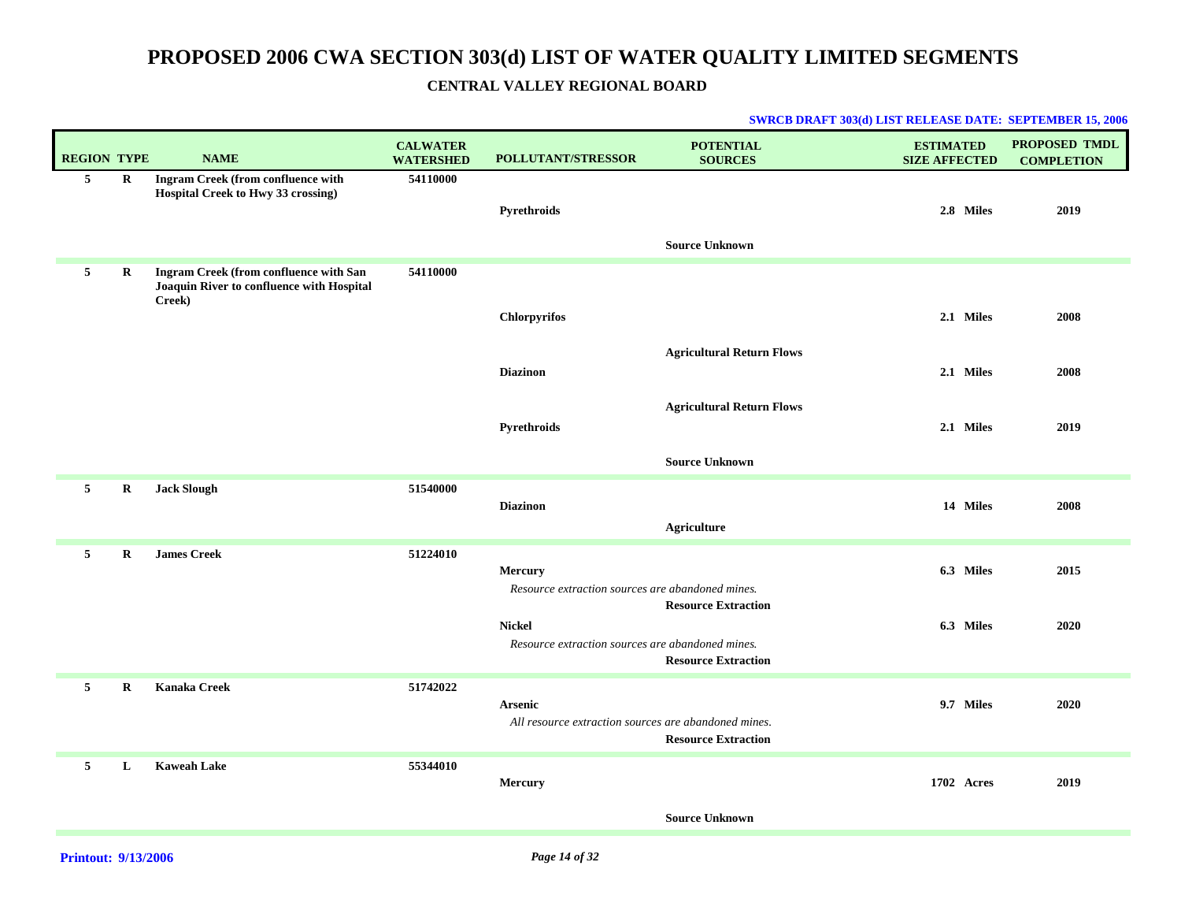# **PROPOSED 2006 CWA SECTION 303(d) LIST OF WATER QUALITY LIMITED SEGMENTS**

### **CENTRAL VALLEY REGIONAL BOARD**

| <b>REGION TYPE</b> |             | <b>NAME</b>                                                                                   | <b>CALWATER</b><br><b>WATERSHED</b> | <b>POLLUTANT/STRESSOR</b>                            | <b>POTENTIAL</b><br><b>SOURCES</b> | <b>ESTIMATED</b><br><b>SIZE AFFECTED</b> | <b>PROPOSED TMDL</b><br><b>COMPLETION</b> |
|--------------------|-------------|-----------------------------------------------------------------------------------------------|-------------------------------------|------------------------------------------------------|------------------------------------|------------------------------------------|-------------------------------------------|
| 5                  | $\mathbf R$ | Ingram Creek (from confluence with<br>Hospital Creek to Hwy 33 crossing)                      | 54110000                            | Pyrethroids                                          |                                    | 2.8 Miles                                | 2019                                      |
|                    |             |                                                                                               |                                     |                                                      | <b>Source Unknown</b>              |                                          |                                           |
| 5                  | R           | Ingram Creek (from confluence with San<br>Joaquin River to confluence with Hospital<br>Creek) | 54110000                            |                                                      |                                    |                                          |                                           |
|                    |             |                                                                                               |                                     | <b>Chlorpyrifos</b>                                  |                                    | 2.1 Miles                                | 2008                                      |
|                    |             |                                                                                               |                                     |                                                      | <b>Agricultural Return Flows</b>   |                                          |                                           |
|                    |             |                                                                                               |                                     | <b>Diazinon</b>                                      |                                    | 2.1 Miles                                | 2008                                      |
|                    |             |                                                                                               |                                     |                                                      | <b>Agricultural Return Flows</b>   |                                          |                                           |
|                    |             |                                                                                               |                                     | Pyrethroids                                          |                                    | 2.1 Miles                                | 2019                                      |
|                    |             |                                                                                               |                                     |                                                      | <b>Source Unknown</b>              |                                          |                                           |
| $5^{\circ}$        | $\mathbf R$ | <b>Jack Slough</b>                                                                            | 51540000                            |                                                      |                                    |                                          |                                           |
|                    |             |                                                                                               |                                     | <b>Diazinon</b>                                      | <b>Agriculture</b>                 | 14 Miles                                 | 2008                                      |
|                    |             |                                                                                               |                                     |                                                      |                                    |                                          |                                           |
| $5^{\circ}$        | $\bf{R}$    | <b>James Creek</b>                                                                            | 51224010                            | <b>Mercury</b>                                       |                                    | 6.3 Miles                                | 2015                                      |
|                    |             |                                                                                               |                                     | Resource extraction sources are abandoned mines.     |                                    |                                          |                                           |
|                    |             |                                                                                               |                                     | <b>Nickel</b>                                        | <b>Resource Extraction</b>         | 6.3 Miles                                | 2020                                      |
|                    |             |                                                                                               |                                     | Resource extraction sources are abandoned mines.     |                                    |                                          |                                           |
|                    |             |                                                                                               |                                     |                                                      | <b>Resource Extraction</b>         |                                          |                                           |
| 5                  | $\bf R$     | <b>Kanaka Creek</b>                                                                           | 51742022                            | <b>Arsenic</b>                                       |                                    | 9.7 Miles                                | 2020                                      |
|                    |             |                                                                                               |                                     | All resource extraction sources are abandoned mines. | <b>Resource Extraction</b>         |                                          |                                           |
|                    |             |                                                                                               |                                     |                                                      |                                    |                                          |                                           |
| 5                  | L           | <b>Kaweah Lake</b>                                                                            | 55344010                            | Mercury                                              |                                    | 1702 Acres                               | 2019                                      |
|                    |             |                                                                                               |                                     |                                                      | <b>Source Unknown</b>              |                                          |                                           |
|                    |             |                                                                                               |                                     |                                                      |                                    |                                          |                                           |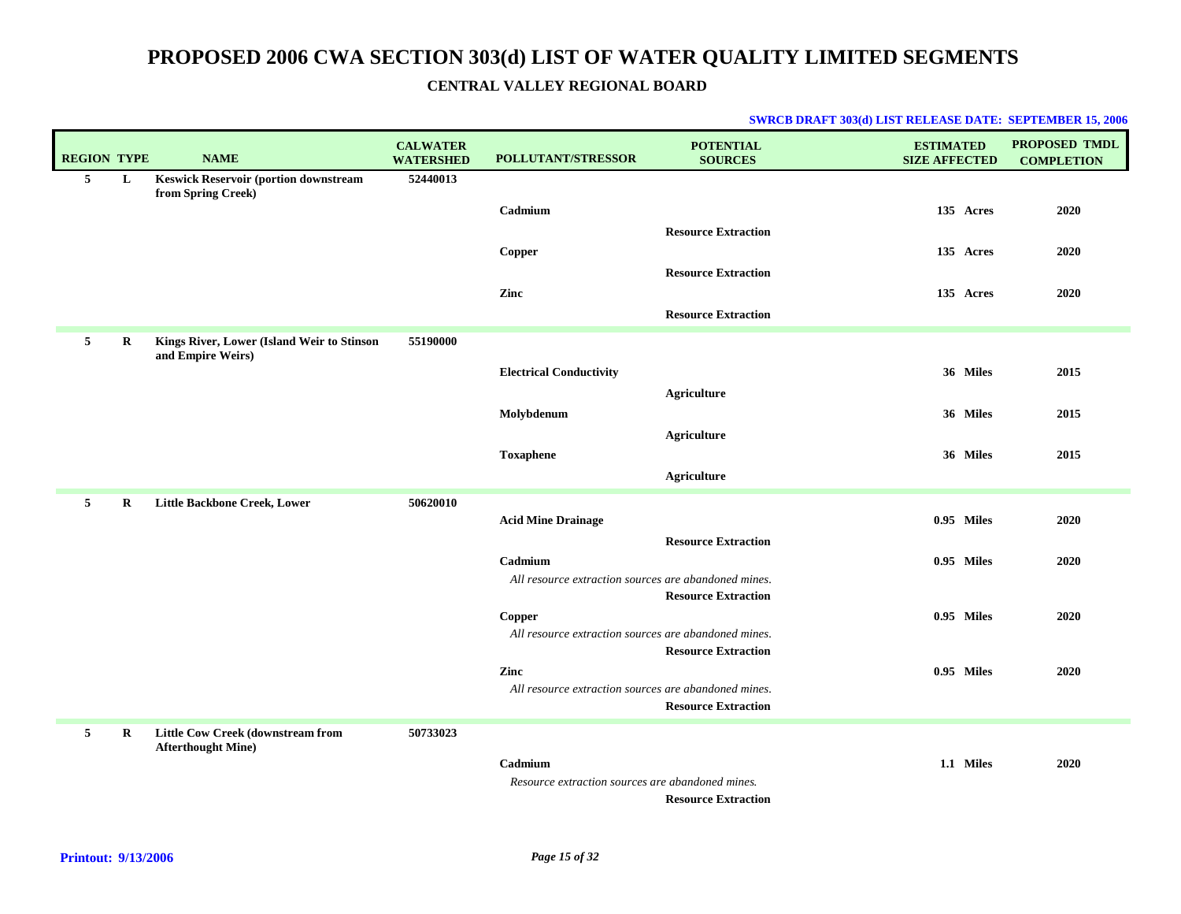| <b>REGION TYPE</b> |          | <b>NAME</b>                                                        | <b>CALWATER</b><br><b>WATERSHED</b> | <b>POLLUTANT/STRESSOR</b>                                      | <b>POTENTIAL</b><br><b>SOURCES</b> | <b>ESTIMATED</b><br><b>SIZE AFFECTED</b> | <b>PROPOSED TMDL</b><br><b>COMPLETION</b> |
|--------------------|----------|--------------------------------------------------------------------|-------------------------------------|----------------------------------------------------------------|------------------------------------|------------------------------------------|-------------------------------------------|
| 5                  | L        | <b>Keswick Reservoir (portion downstream</b><br>from Spring Creek) | 52440013                            |                                                                |                                    |                                          |                                           |
|                    |          |                                                                    |                                     | Cadmium                                                        |                                    | 135 Acres                                | 2020                                      |
|                    |          |                                                                    |                                     |                                                                | <b>Resource Extraction</b>         |                                          |                                           |
|                    |          |                                                                    |                                     | Copper                                                         |                                    | 135 Acres                                | 2020                                      |
|                    |          |                                                                    |                                     |                                                                | <b>Resource Extraction</b>         |                                          |                                           |
|                    |          |                                                                    |                                     | Zinc                                                           |                                    | 135 Acres                                | 2020                                      |
|                    |          |                                                                    |                                     |                                                                | <b>Resource Extraction</b>         |                                          |                                           |
| 5                  | R        | Kings River, Lower (Island Weir to Stinson<br>and Empire Weirs)    | 55190000                            |                                                                |                                    |                                          |                                           |
|                    |          |                                                                    |                                     | <b>Electrical Conductivity</b>                                 |                                    | 36 Miles                                 | 2015                                      |
|                    |          |                                                                    |                                     |                                                                | Agriculture                        |                                          |                                           |
|                    |          |                                                                    |                                     | Molybdenum                                                     |                                    | 36 Miles                                 | 2015                                      |
|                    |          |                                                                    |                                     |                                                                | <b>Agriculture</b>                 |                                          |                                           |
|                    |          |                                                                    |                                     | <b>Toxaphene</b>                                               |                                    | 36 Miles                                 | 2015                                      |
|                    |          |                                                                    |                                     |                                                                | Agriculture                        |                                          |                                           |
| $5^{\circ}$        | $\bf{R}$ | Little Backbone Creek, Lower                                       | 50620010                            | <b>Acid Mine Drainage</b>                                      |                                    | 0.95 Miles                               | 2020                                      |
|                    |          |                                                                    |                                     |                                                                | <b>Resource Extraction</b>         |                                          |                                           |
|                    |          |                                                                    |                                     | Cadmium                                                        |                                    | 0.95 Miles                               | 2020                                      |
|                    |          |                                                                    |                                     | All resource extraction sources are abandoned mines.           |                                    |                                          |                                           |
|                    |          |                                                                    |                                     |                                                                | <b>Resource Extraction</b>         |                                          |                                           |
|                    |          |                                                                    |                                     | Copper<br>All resource extraction sources are abandoned mines. |                                    | 0.95 Miles                               | 2020                                      |
|                    |          |                                                                    |                                     |                                                                | <b>Resource Extraction</b>         |                                          |                                           |
|                    |          |                                                                    |                                     | Zinc                                                           |                                    | 0.95 Miles                               | 2020                                      |
|                    |          |                                                                    |                                     | All resource extraction sources are abandoned mines.           | <b>Resource Extraction</b>         |                                          |                                           |
|                    |          |                                                                    |                                     |                                                                |                                    |                                          |                                           |
| 5                  | $\bf{R}$ | Little Cow Creek (downstream from<br><b>Afterthought Mine)</b>     | 50733023                            |                                                                |                                    |                                          |                                           |
|                    |          |                                                                    |                                     | Cadmium                                                        |                                    | 1.1 Miles                                | 2020                                      |
|                    |          |                                                                    |                                     | Resource extraction sources are abandoned mines.               | <b>Resource Extraction</b>         |                                          |                                           |
|                    |          |                                                                    |                                     |                                                                |                                    |                                          |                                           |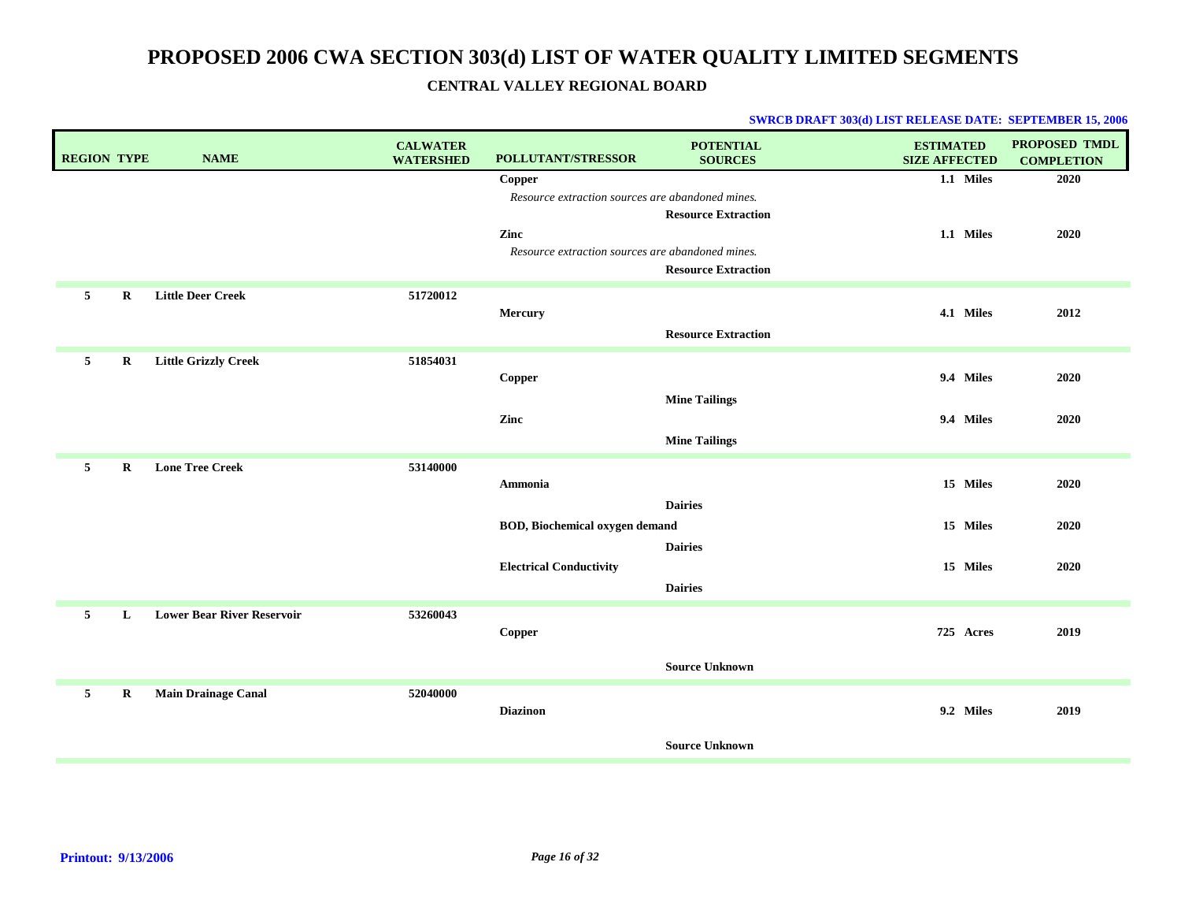| <b>REGION TYPE</b> |             | <b>NAME</b>                       | <b>CALWATER</b><br><b>WATERSHED</b> | POLLUTANT/STRESSOR                                         | <b>POTENTIAL</b><br><b>SOURCES</b>           | <b>ESTIMATED</b><br><b>SIZE AFFECTED</b> | <b>PROPOSED TMDL</b><br><b>COMPLETION</b> |
|--------------------|-------------|-----------------------------------|-------------------------------------|------------------------------------------------------------|----------------------------------------------|------------------------------------------|-------------------------------------------|
|                    |             |                                   |                                     | Copper<br>Resource extraction sources are abandoned mines. | <b>Resource Extraction</b>                   | 1.1 Miles                                | 2020                                      |
|                    |             |                                   |                                     | Zinc<br>Resource extraction sources are abandoned mines.   | <b>Resource Extraction</b>                   | 1.1 Miles                                | 2020                                      |
| 5                  | R           | <b>Little Deer Creek</b>          | 51720012                            | Mercury                                                    | <b>Resource Extraction</b>                   | 4.1 Miles                                | 2012                                      |
| 5                  | $\bf R$     | <b>Little Grizzly Creek</b>       | 51854031                            | Copper                                                     |                                              | 9.4 Miles                                | 2020                                      |
|                    |             |                                   |                                     | Zinc                                                       | <b>Mine Tailings</b><br><b>Mine Tailings</b> | 9.4 Miles                                | 2020                                      |
| $5^{\circ}$        | $\bf R$     | <b>Lone Tree Creek</b>            | 53140000                            | Ammonia                                                    | <b>Dairies</b>                               | 15 Miles                                 | 2020                                      |
|                    |             |                                   |                                     | <b>BOD, Biochemical oxygen demand</b>                      | <b>Dairies</b>                               | 15 Miles                                 | 2020                                      |
|                    |             |                                   |                                     | <b>Electrical Conductivity</b>                             | <b>Dairies</b>                               | 15 Miles                                 | 2020                                      |
| 5                  | L           | <b>Lower Bear River Reservoir</b> | 53260043                            | Copper                                                     |                                              | 725 Acres                                | 2019                                      |
|                    |             |                                   |                                     |                                                            | <b>Source Unknown</b>                        |                                          |                                           |
| 5                  | $\mathbf R$ | <b>Main Drainage Canal</b>        | 52040000                            | <b>Diazinon</b>                                            |                                              | 9.2 Miles                                | 2019                                      |
|                    |             |                                   |                                     |                                                            | <b>Source Unknown</b>                        |                                          |                                           |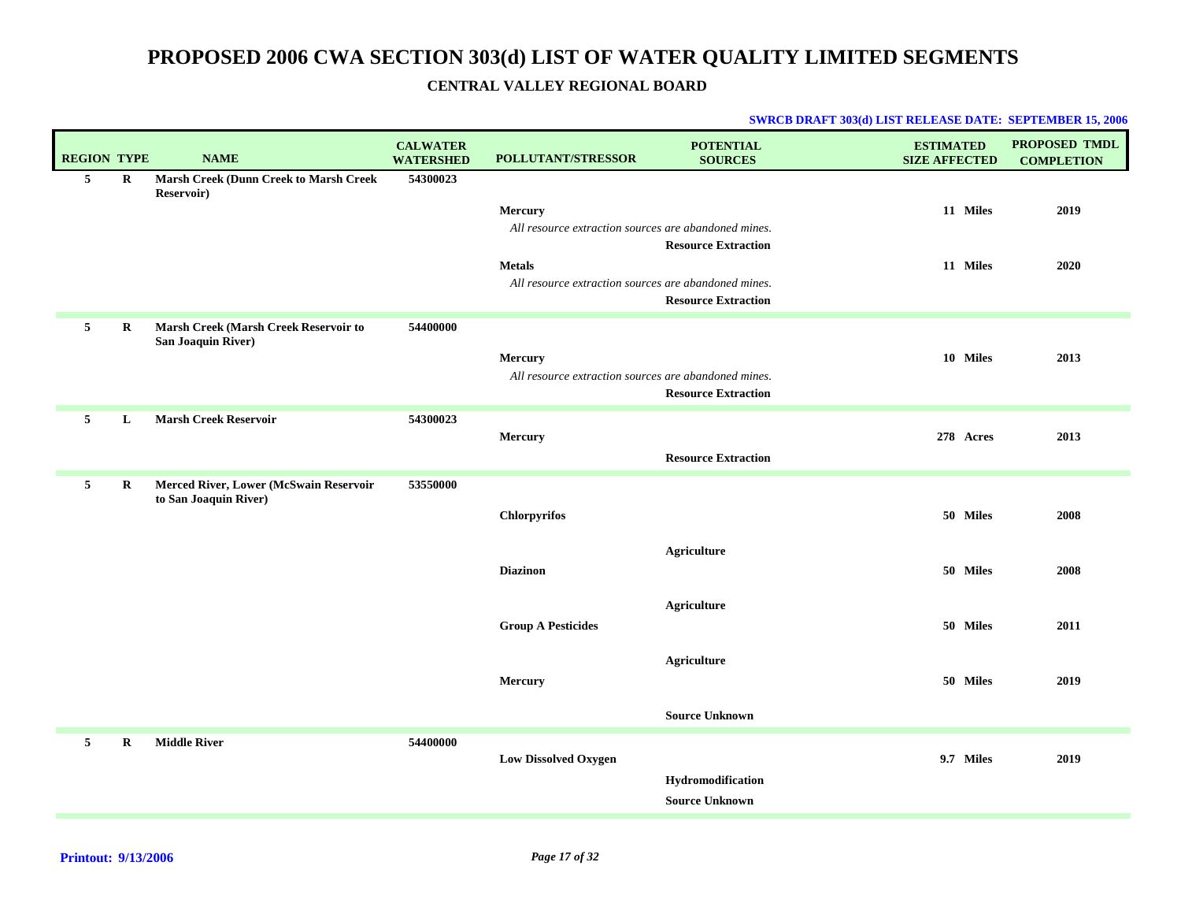| <b>REGION TYPE</b> |         | <b>NAME</b>                                                 | <b>CALWATER</b><br><b>WATERSHED</b> | POLLUTANT/STRESSOR                                   | <b>POTENTIAL</b><br><b>SOURCES</b> | <b>ESTIMATED</b><br><b>SIZE AFFECTED</b> | <b>PROPOSED TMDL</b><br><b>COMPLETION</b> |
|--------------------|---------|-------------------------------------------------------------|-------------------------------------|------------------------------------------------------|------------------------------------|------------------------------------------|-------------------------------------------|
| $5\overline{ }$    | $\bf R$ | <b>Marsh Creek (Dunn Creek to Marsh Creek</b><br>Reservoir) | 54300023                            |                                                      |                                    |                                          |                                           |
|                    |         |                                                             |                                     | <b>Mercury</b>                                       |                                    | 11 Miles                                 | 2019                                      |
|                    |         |                                                             |                                     | All resource extraction sources are abandoned mines. |                                    |                                          |                                           |
|                    |         |                                                             |                                     |                                                      | <b>Resource Extraction</b>         |                                          |                                           |
|                    |         |                                                             |                                     | <b>Metals</b>                                        |                                    | 11 Miles                                 | 2020                                      |
|                    |         |                                                             |                                     | All resource extraction sources are abandoned mines. |                                    |                                          |                                           |
|                    |         |                                                             |                                     |                                                      | <b>Resource Extraction</b>         |                                          |                                           |
| 5                  | R       | Marsh Creek (Marsh Creek Reservoir to<br>San Joaquin River) | 54400000                            |                                                      |                                    |                                          |                                           |
|                    |         |                                                             |                                     | Mercury                                              |                                    | 10 Miles                                 | 2013                                      |
|                    |         |                                                             |                                     | All resource extraction sources are abandoned mines. |                                    |                                          |                                           |
|                    |         |                                                             |                                     |                                                      | <b>Resource Extraction</b>         |                                          |                                           |
| 5                  | L       | <b>Marsh Creek Reservoir</b>                                | 54300023                            |                                                      |                                    |                                          |                                           |
|                    |         |                                                             |                                     | Mercury                                              |                                    | 278 Acres                                | 2013                                      |
|                    |         |                                                             |                                     |                                                      | <b>Resource Extraction</b>         |                                          |                                           |
| $\mathbf{5}$       | R       | Merced River, Lower (McSwain Reservoir                      | 53550000                            |                                                      |                                    |                                          |                                           |
|                    |         | to San Joaquin River)                                       |                                     |                                                      |                                    |                                          |                                           |
|                    |         |                                                             |                                     | <b>Chlorpyrifos</b>                                  |                                    | 50 Miles                                 | 2008                                      |
|                    |         |                                                             |                                     |                                                      |                                    |                                          |                                           |
|                    |         |                                                             |                                     |                                                      | <b>Agriculture</b>                 |                                          |                                           |
|                    |         |                                                             |                                     | <b>Diazinon</b>                                      |                                    | 50 Miles                                 | 2008                                      |
|                    |         |                                                             |                                     |                                                      | <b>Agriculture</b>                 |                                          |                                           |
|                    |         |                                                             |                                     | <b>Group A Pesticides</b>                            |                                    | 50 Miles                                 | 2011                                      |
|                    |         |                                                             |                                     |                                                      |                                    |                                          |                                           |
|                    |         |                                                             |                                     |                                                      | <b>Agriculture</b>                 |                                          |                                           |
|                    |         |                                                             |                                     | Mercury                                              |                                    | 50 Miles                                 | 2019                                      |
|                    |         |                                                             |                                     |                                                      |                                    |                                          |                                           |
|                    |         |                                                             |                                     |                                                      | <b>Source Unknown</b>              |                                          |                                           |
| 5                  | R       | <b>Middle River</b>                                         | 54400000                            |                                                      |                                    |                                          |                                           |
|                    |         |                                                             |                                     | <b>Low Dissolved Oxygen</b>                          |                                    | 9.7 Miles                                | 2019                                      |
|                    |         |                                                             |                                     |                                                      | Hydromodification                  |                                          |                                           |
|                    |         |                                                             |                                     |                                                      | <b>Source Unknown</b>              |                                          |                                           |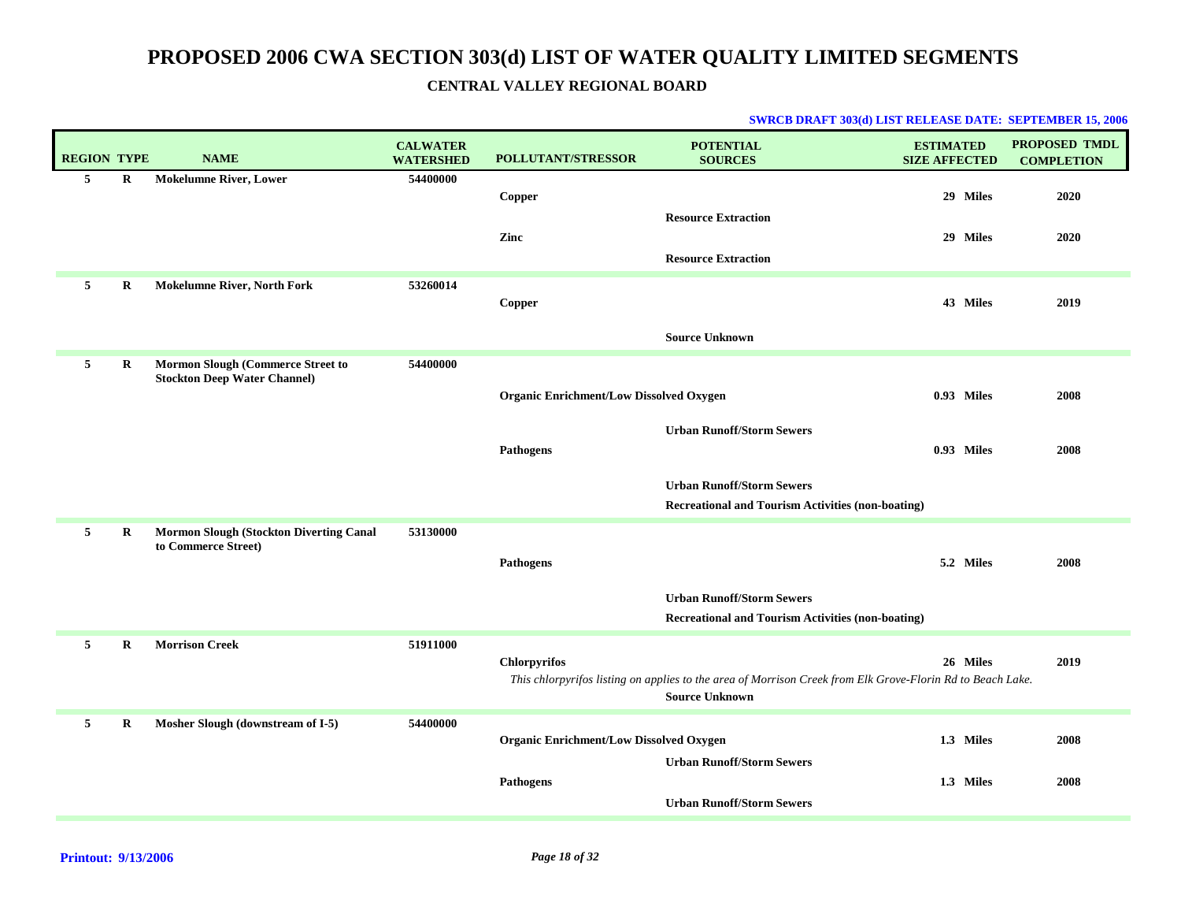| <b>REGION TYPE</b> |             | <b>NAME</b>                                                              | <b>CALWATER</b><br><b>WATERSHED</b> | <b>POLLUTANT/STRESSOR</b>                      | <b>POTENTIAL</b><br><b>SOURCES</b>                                                                                                  | <b>ESTIMATED</b><br><b>SIZE AFFECTED</b> | <b>PROPOSED TMDL</b><br><b>COMPLETION</b> |
|--------------------|-------------|--------------------------------------------------------------------------|-------------------------------------|------------------------------------------------|-------------------------------------------------------------------------------------------------------------------------------------|------------------------------------------|-------------------------------------------|
| 5                  | R           | <b>Mokelumne River, Lower</b>                                            | 54400000                            | Copper                                         |                                                                                                                                     | 29 Miles                                 | 2020                                      |
|                    |             |                                                                          |                                     | Zinc                                           | <b>Resource Extraction</b><br><b>Resource Extraction</b>                                                                            | 29 Miles                                 | 2020                                      |
| 5                  | R           | <b>Mokelumne River, North Fork</b>                                       | 53260014                            | Copper                                         |                                                                                                                                     | 43 Miles                                 | 2019                                      |
|                    |             |                                                                          |                                     |                                                | <b>Source Unknown</b>                                                                                                               |                                          |                                           |
| 5                  | $\bf R$     | Mormon Slough (Commerce Street to<br><b>Stockton Deep Water Channel)</b> | 54400000                            |                                                |                                                                                                                                     |                                          |                                           |
|                    |             |                                                                          |                                     | <b>Organic Enrichment/Low Dissolved Oxygen</b> |                                                                                                                                     | 0.93 Miles                               | 2008                                      |
|                    |             |                                                                          |                                     |                                                | <b>Urban Runoff/Storm Sewers</b>                                                                                                    |                                          |                                           |
|                    |             |                                                                          |                                     | Pathogens                                      |                                                                                                                                     | 0.93 Miles                               | 2008                                      |
|                    |             |                                                                          |                                     |                                                | <b>Urban Runoff/Storm Sewers</b><br><b>Recreational and Tourism Activities (non-boating)</b>                                        |                                          |                                           |
| 5                  | $\bf R$     | <b>Mormon Slough (Stockton Diverting Canal</b><br>to Commerce Street)    | 53130000                            |                                                |                                                                                                                                     |                                          |                                           |
|                    |             |                                                                          |                                     | <b>Pathogens</b>                               |                                                                                                                                     | 5.2 Miles                                | 2008                                      |
|                    |             |                                                                          |                                     |                                                | <b>Urban Runoff/Storm Sewers</b><br><b>Recreational and Tourism Activities (non-boating)</b>                                        |                                          |                                           |
| 5                  | $\mathbf R$ | <b>Morrison Creek</b>                                                    | 51911000                            | <b>Chlorpyrifos</b>                            |                                                                                                                                     | 26 Miles                                 | 2019                                      |
|                    |             |                                                                          |                                     |                                                | This chlorpyrifos listing on applies to the area of Morrison Creek from Elk Grove-Florin Rd to Beach Lake.<br><b>Source Unknown</b> |                                          |                                           |
| 5                  | $\mathbf R$ | Mosher Slough (downstream of I-5)                                        | 54400000                            | <b>Organic Enrichment/Low Dissolved Oxygen</b> |                                                                                                                                     | 1.3 Miles                                | 2008                                      |
|                    |             |                                                                          |                                     |                                                | <b>Urban Runoff/Storm Sewers</b>                                                                                                    |                                          |                                           |
|                    |             |                                                                          |                                     | <b>Pathogens</b>                               | <b>Urban Runoff/Storm Sewers</b>                                                                                                    | 1.3 Miles                                | 2008                                      |
|                    |             |                                                                          |                                     |                                                |                                                                                                                                     |                                          |                                           |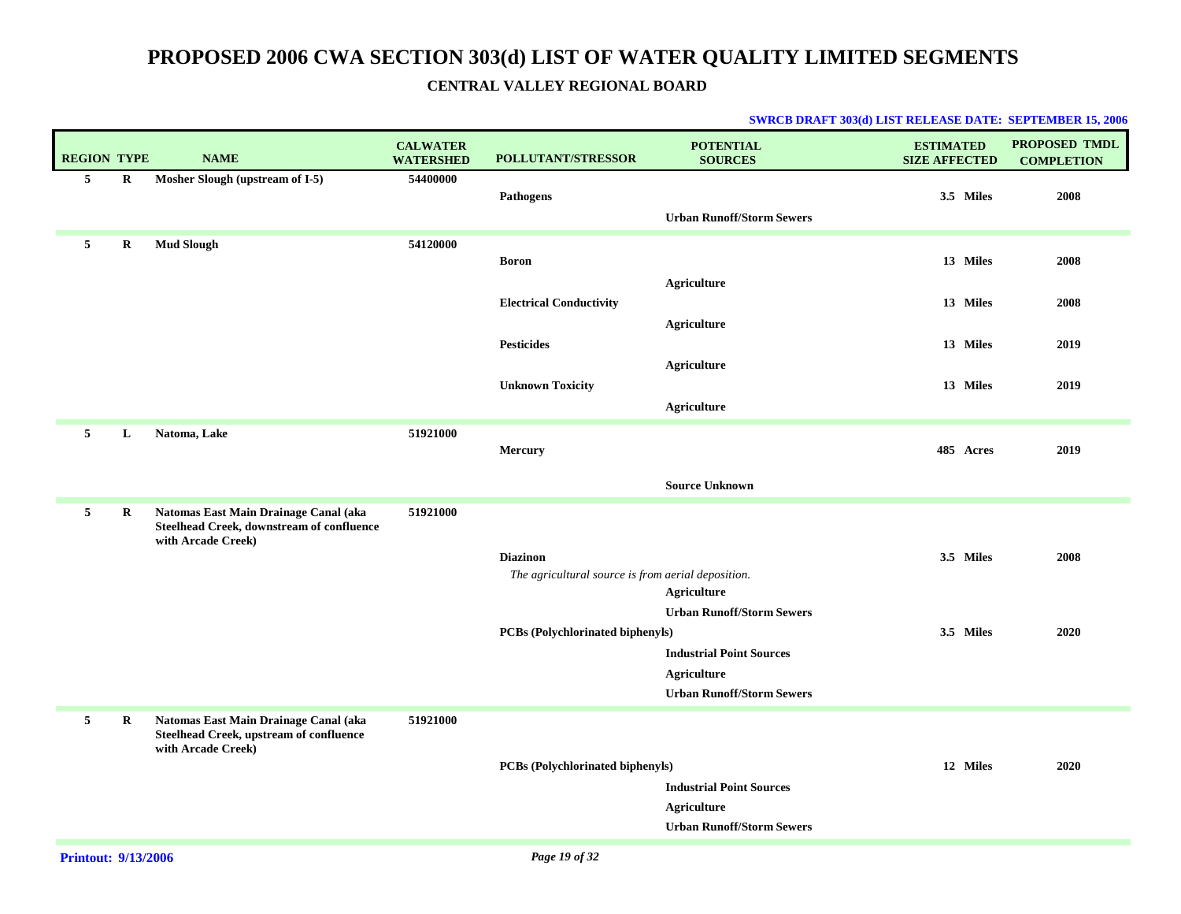| <b>REGION TYPE</b> |         | <b>NAME</b>                                                                                              | <b>CALWATER</b><br><b>WATERSHED</b> | <b>POLLUTANT/STRESSOR</b>                          | <b>POTENTIAL</b><br><b>SOURCES</b>              | <b>ESTIMATED</b><br><b>SIZE AFFECTED</b> | <b>PROPOSED TMDL</b><br><b>COMPLETION</b> |
|--------------------|---------|----------------------------------------------------------------------------------------------------------|-------------------------------------|----------------------------------------------------|-------------------------------------------------|------------------------------------------|-------------------------------------------|
| 5                  | $\bf R$ | Mosher Slough (upstream of I-5)                                                                          | 54400000                            |                                                    |                                                 |                                          |                                           |
|                    |         |                                                                                                          |                                     | <b>Pathogens</b>                                   | <b>Urban Runoff/Storm Sewers</b>                | 3.5 Miles                                | 2008                                      |
|                    |         |                                                                                                          |                                     |                                                    |                                                 |                                          |                                           |
| 5                  | R       | <b>Mud Slough</b>                                                                                        | 54120000                            | <b>Boron</b>                                       |                                                 | 13 Miles                                 | 2008                                      |
|                    |         |                                                                                                          |                                     |                                                    | <b>Agriculture</b>                              |                                          |                                           |
|                    |         |                                                                                                          |                                     | <b>Electrical Conductivity</b>                     |                                                 | 13 Miles                                 | 2008                                      |
|                    |         |                                                                                                          |                                     |                                                    | <b>Agriculture</b>                              |                                          |                                           |
|                    |         |                                                                                                          |                                     | <b>Pesticides</b>                                  |                                                 | 13 Miles                                 | 2019                                      |
|                    |         |                                                                                                          |                                     |                                                    | <b>Agriculture</b>                              |                                          |                                           |
|                    |         |                                                                                                          |                                     | <b>Unknown Toxicity</b>                            |                                                 | 13 Miles                                 | 2019                                      |
|                    |         |                                                                                                          |                                     |                                                    | <b>Agriculture</b>                              |                                          |                                           |
| 5                  | L       | Natoma, Lake                                                                                             | 51921000                            |                                                    |                                                 |                                          |                                           |
|                    |         |                                                                                                          |                                     | Mercury                                            |                                                 | 485 Acres                                | 2019                                      |
|                    |         |                                                                                                          |                                     |                                                    | <b>Source Unknown</b>                           |                                          |                                           |
| 5                  | R       | Natomas East Main Drainage Canal (aka<br>Steelhead Creek, downstream of confluence<br>with Arcade Creek) | 51921000                            |                                                    |                                                 |                                          |                                           |
|                    |         |                                                                                                          |                                     | <b>Diazinon</b>                                    |                                                 | 3.5 Miles                                | 2008                                      |
|                    |         |                                                                                                          |                                     | The agricultural source is from aerial deposition. |                                                 |                                          |                                           |
|                    |         |                                                                                                          |                                     |                                                    | Agriculture<br><b>Urban Runoff/Storm Sewers</b> |                                          |                                           |
|                    |         |                                                                                                          |                                     | <b>PCBs</b> (Polychlorinated biphenyls)            |                                                 | 3.5 Miles                                | 2020                                      |
|                    |         |                                                                                                          |                                     |                                                    | <b>Industrial Point Sources</b>                 |                                          |                                           |
|                    |         |                                                                                                          |                                     |                                                    | <b>Agriculture</b>                              |                                          |                                           |
|                    |         |                                                                                                          |                                     |                                                    | <b>Urban Runoff/Storm Sewers</b>                |                                          |                                           |
| $\mathbf{5}$       | R       | Natomas East Main Drainage Canal (aka<br>Steelhead Creek, upstream of confluence<br>with Arcade Creek)   | 51921000                            |                                                    |                                                 |                                          |                                           |
|                    |         |                                                                                                          |                                     | <b>PCBs</b> (Polychlorinated biphenyls)            |                                                 | 12 Miles                                 | 2020                                      |
|                    |         |                                                                                                          |                                     |                                                    | <b>Industrial Point Sources</b>                 |                                          |                                           |
|                    |         |                                                                                                          |                                     |                                                    | Agriculture<br><b>Urban Runoff/Storm Sewers</b> |                                          |                                           |
|                    |         |                                                                                                          |                                     |                                                    |                                                 |                                          |                                           |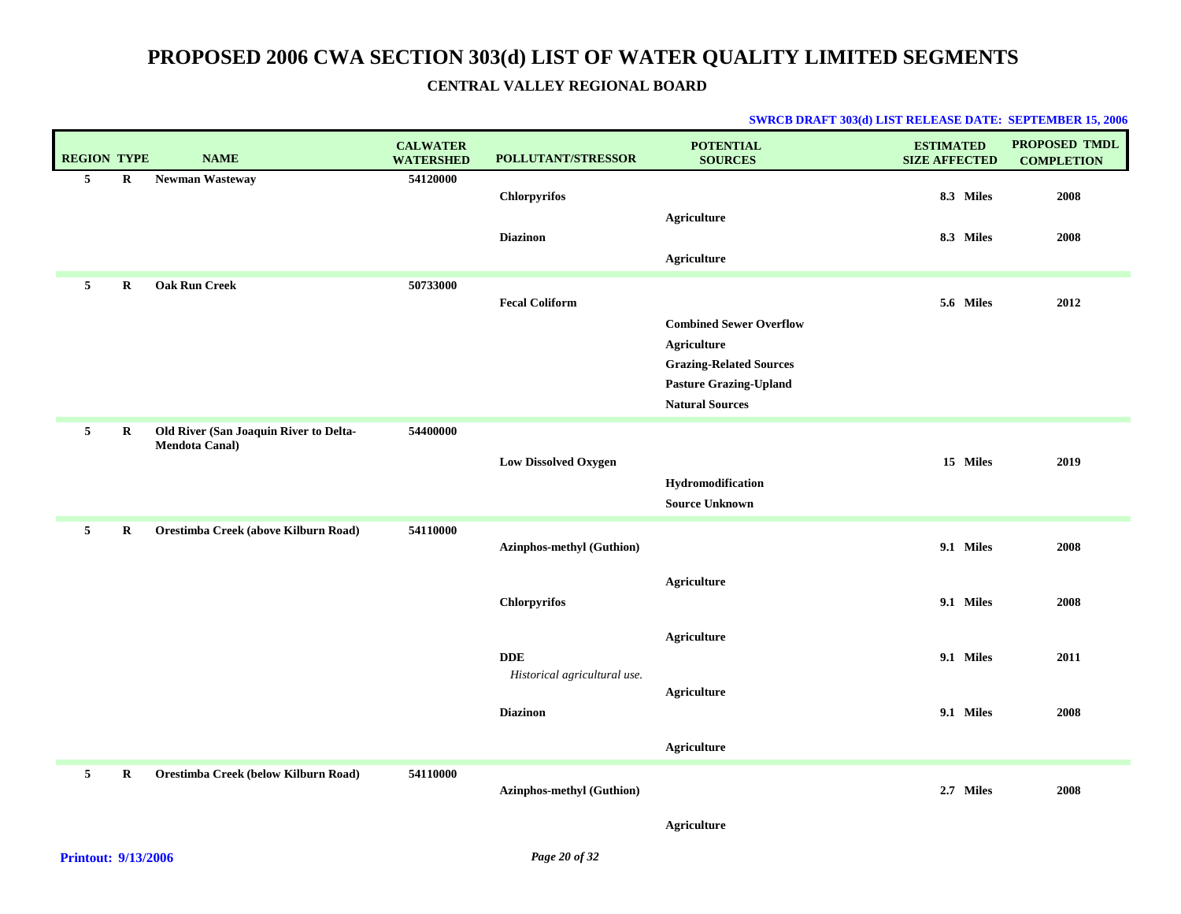| <b>REGION TYPE</b> |             | <b>NAME</b>                                                     | <b>CALWATER</b><br><b>WATERSHED</b> | POLLUTANT/STRESSOR                        | <b>POTENTIAL</b><br><b>SOURCES</b>                                                                                                                | <b>ESTIMATED</b><br><b>SIZE AFFECTED</b> | PROPOSED TMDL<br><b>COMPLETION</b> |
|--------------------|-------------|-----------------------------------------------------------------|-------------------------------------|-------------------------------------------|---------------------------------------------------------------------------------------------------------------------------------------------------|------------------------------------------|------------------------------------|
| 5                  | $\bf R$     | Newman Wasteway                                                 | 54120000                            | <b>Chlorpyrifos</b>                       |                                                                                                                                                   | 8.3 Miles                                | 2008                               |
|                    |             |                                                                 |                                     | <b>Diazinon</b>                           | <b>Agriculture</b><br>Agriculture                                                                                                                 | 8.3 Miles                                | 2008                               |
| 5                  | $\mathbf R$ | <b>Oak Run Creek</b>                                            | 50733000                            | <b>Fecal Coliform</b>                     | <b>Combined Sewer Overflow</b><br><b>Agriculture</b><br><b>Grazing-Related Sources</b><br><b>Pasture Grazing-Upland</b><br><b>Natural Sources</b> | 5.6 Miles                                | 2012                               |
| $5\overline{5}$    | $\bf R$     | Old River (San Joaquin River to Delta-<br><b>Mendota Canal)</b> | 54400000                            | <b>Low Dissolved Oxygen</b>               | Hydromodification<br><b>Source Unknown</b>                                                                                                        | 15 Miles                                 | 2019                               |
| 5                  | $\mathbf R$ | Orestimba Creek (above Kilburn Road)                            | 54110000                            | Azinphos-methyl (Guthion)                 |                                                                                                                                                   | 9.1 Miles                                | 2008                               |
|                    |             |                                                                 |                                     | Chlorpyrifos                              | <b>Agriculture</b>                                                                                                                                | 9.1 Miles                                | 2008                               |
|                    |             |                                                                 |                                     | $\bf DDE$<br>Historical agricultural use. | <b>Agriculture</b><br><b>Agriculture</b>                                                                                                          | 9.1 Miles                                | 2011                               |
|                    |             |                                                                 |                                     | <b>Diazinon</b>                           |                                                                                                                                                   | 9.1 Miles                                | 2008                               |
|                    |             |                                                                 |                                     |                                           | <b>Agriculture</b>                                                                                                                                |                                          |                                    |
| 5                  | $\bf R$     | Orestimba Creek (below Kilburn Road)                            | 54110000                            | <b>Azinphos-methyl (Guthion)</b>          |                                                                                                                                                   | 2.7 Miles                                | 2008                               |
|                    |             |                                                                 |                                     |                                           | <b>Agriculture</b>                                                                                                                                |                                          |                                    |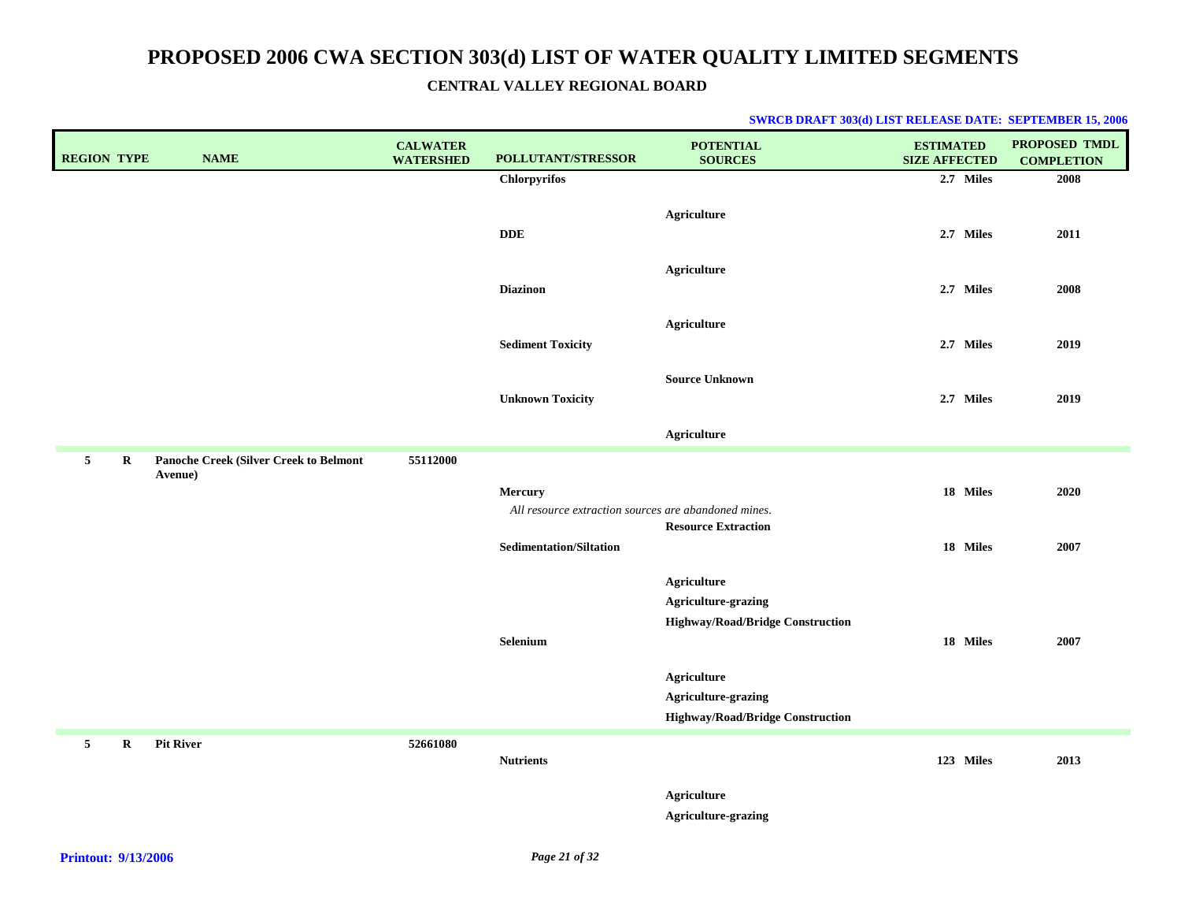| <b>REGION TYPE</b> |             | <b>NAME</b>                            | <b>CALWATER</b><br><b>WATERSHED</b> | POLLUTANT/STRESSOR                                   | <b>POTENTIAL</b><br><b>SOURCES</b>                             | <b>ESTIMATED</b><br><b>SIZE AFFECTED</b> | PROPOSED TMDL<br><b>COMPLETION</b> |
|--------------------|-------------|----------------------------------------|-------------------------------------|------------------------------------------------------|----------------------------------------------------------------|------------------------------------------|------------------------------------|
|                    |             |                                        |                                     | <b>Chlorpyrifos</b>                                  |                                                                | 2.7 Miles                                | 2008                               |
|                    |             |                                        |                                     | <b>DDE</b>                                           | Agriculture                                                    | 2.7 Miles                                | 2011                               |
|                    |             |                                        |                                     | <b>Diazinon</b>                                      | <b>Agriculture</b>                                             | 2.7 Miles                                | 2008                               |
|                    |             |                                        |                                     | <b>Sediment Toxicity</b>                             | <b>Agriculture</b>                                             | 2.7 Miles                                | 2019                               |
|                    |             |                                        |                                     | <b>Unknown Toxicity</b>                              | <b>Source Unknown</b>                                          | 2.7 Miles                                | 2019                               |
|                    |             |                                        |                                     |                                                      | <b>Agriculture</b>                                             |                                          |                                    |
| 5 <sub>5</sub>     | R           | Panoche Creek (Silver Creek to Belmont | 55112000                            |                                                      |                                                                |                                          |                                    |
|                    |             | Avenue)                                |                                     | Mercury                                              |                                                                | 18 Miles                                 | 2020                               |
|                    |             |                                        |                                     | All resource extraction sources are abandoned mines. |                                                                |                                          |                                    |
|                    |             |                                        |                                     | <b>Sedimentation/Siltation</b>                       | <b>Resource Extraction</b>                                     | 18 Miles                                 | 2007                               |
|                    |             |                                        |                                     |                                                      |                                                                |                                          |                                    |
|                    |             |                                        |                                     |                                                      | Agriculture                                                    |                                          |                                    |
|                    |             |                                        |                                     |                                                      | Agriculture-grazing                                            |                                          |                                    |
|                    |             |                                        |                                     | Selenium                                             | <b>Highway/Road/Bridge Construction</b>                        | 18 Miles                                 | 2007                               |
|                    |             |                                        |                                     |                                                      |                                                                |                                          |                                    |
|                    |             |                                        |                                     |                                                      | <b>Agriculture</b>                                             |                                          |                                    |
|                    |             |                                        |                                     |                                                      | Agriculture-grazing<br><b>Highway/Road/Bridge Construction</b> |                                          |                                    |
| 5 <sub>1</sub>     | $\mathbf R$ | <b>Pit River</b>                       | 52661080                            |                                                      |                                                                |                                          |                                    |
|                    |             |                                        |                                     | <b>Nutrients</b>                                     |                                                                | 123 Miles                                | 2013                               |
|                    |             |                                        |                                     |                                                      | <b>Agriculture</b><br>Agriculture-grazing                      |                                          |                                    |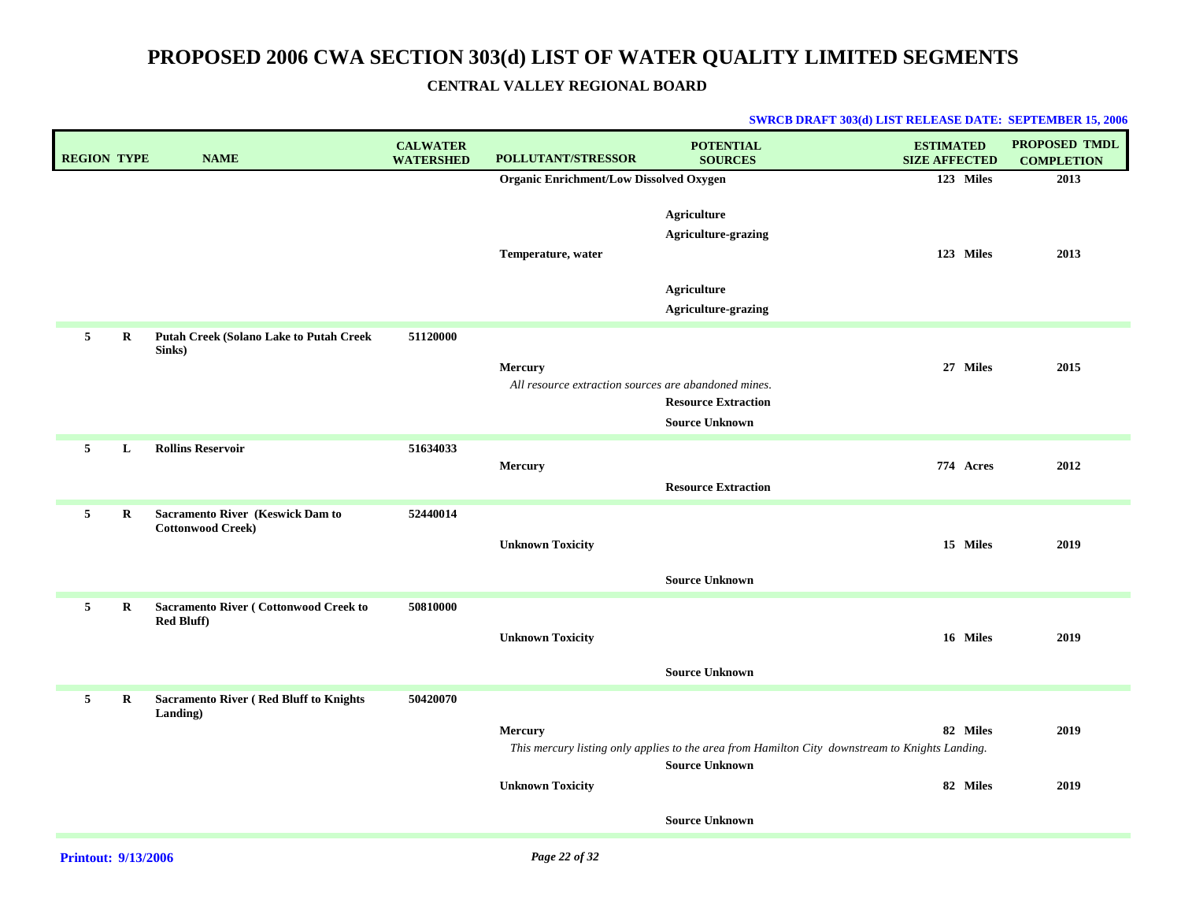| <b>REGION TYPE</b> |             | <b>NAME</b>                                                        | <b>CALWATER</b><br><b>WATERSHED</b> | <b>POLLUTANT/STRESSOR</b>                                       | <b>POTENTIAL</b><br><b>SOURCES</b>                                                                                                                | <b>ESTIMATED</b><br><b>SIZE AFFECTED</b> | PROPOSED TMDL<br><b>COMPLETION</b> |
|--------------------|-------------|--------------------------------------------------------------------|-------------------------------------|-----------------------------------------------------------------|---------------------------------------------------------------------------------------------------------------------------------------------------|------------------------------------------|------------------------------------|
|                    |             |                                                                    |                                     | <b>Organic Enrichment/Low Dissolved Oxygen</b>                  |                                                                                                                                                   | 123 Miles                                | 2013                               |
|                    |             |                                                                    |                                     | Temperature, water                                              | <b>Agriculture</b><br>Agriculture-grazing<br><b>Agriculture</b><br><b>Agriculture-grazing</b>                                                     | 123 Miles                                | 2013                               |
| 5                  | $\bf R$     | <b>Putah Creek (Solano Lake to Putah Creek</b><br>Sinks)           | 51120000                            | Mercury<br>All resource extraction sources are abandoned mines. | <b>Resource Extraction</b><br><b>Source Unknown</b>                                                                                               | 27 Miles                                 | 2015                               |
| 5                  | L           | <b>Rollins Reservoir</b>                                           | 51634033                            | Mercury                                                         | <b>Resource Extraction</b>                                                                                                                        | 774 Acres                                | 2012                               |
| 5                  | $\bf R$     | Sacramento River (Keswick Dam to<br><b>Cottonwood Creek)</b>       | 52440014                            | <b>Unknown Toxicity</b>                                         | <b>Source Unknown</b>                                                                                                                             | 15 Miles                                 | 2019                               |
| 5                  | $\mathbf R$ | <b>Sacramento River (Cottonwood Creek to</b><br><b>Red Bluff</b> ) | 50810000                            | <b>Unknown Toxicity</b>                                         | <b>Source Unknown</b>                                                                                                                             | 16 Miles                                 | 2019                               |
| 5                  | $\bf R$     | <b>Sacramento River (Red Bluff to Knights)</b><br>Landing)         | 50420070                            | <b>Mercury</b><br><b>Unknown Toxicity</b>                       | This mercury listing only applies to the area from Hamilton City downstream to Knights Landing.<br><b>Source Unknown</b><br><b>Source Unknown</b> | 82 Miles<br>82 Miles                     | 2019<br>2019                       |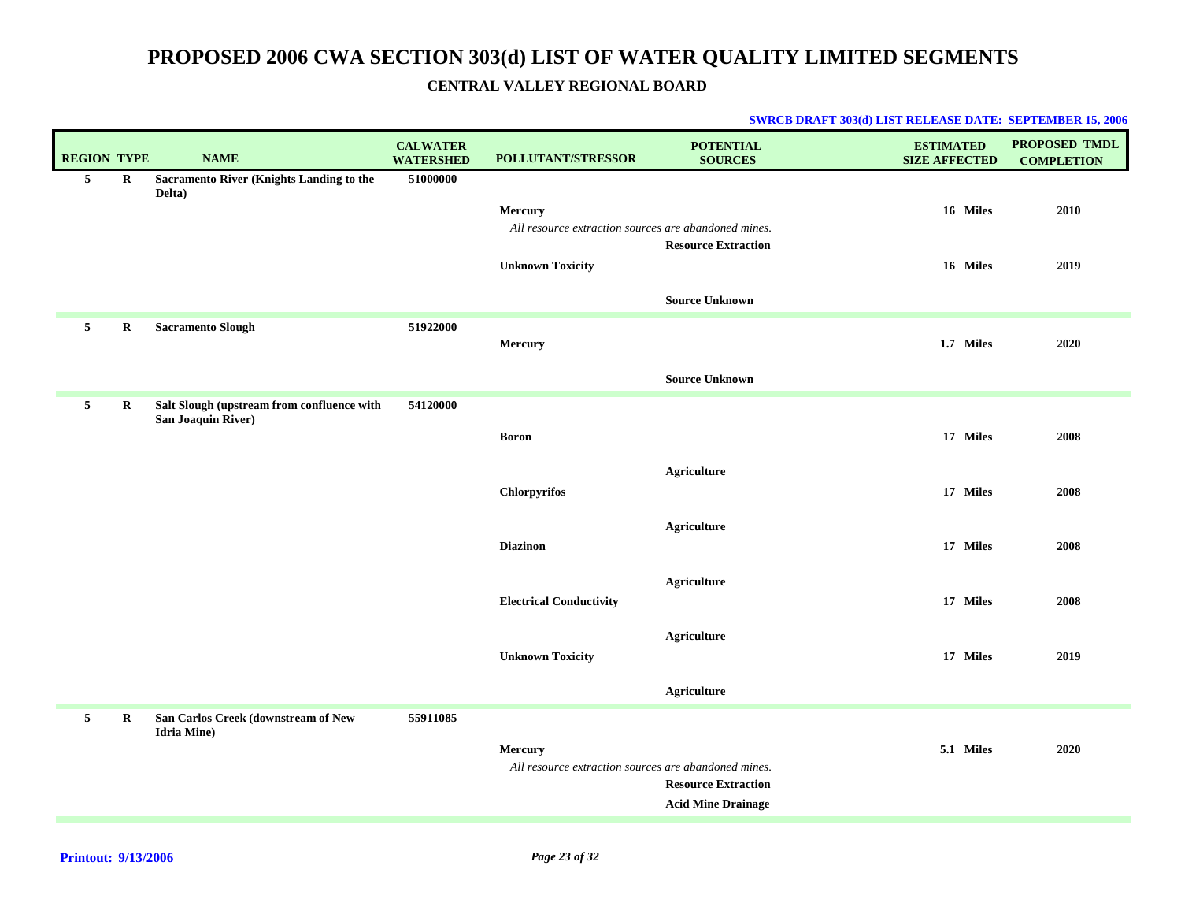| <b>PROPOSED TMDL</b><br><b>COMPLETION</b> |
|-------------------------------------------|
|                                           |
| 2010                                      |
|                                           |
| 2019                                      |
|                                           |
|                                           |
|                                           |
| 2020                                      |
|                                           |
|                                           |
| 2008                                      |
|                                           |
| 2008                                      |
|                                           |
|                                           |
| 2008                                      |
|                                           |
| 2008                                      |
|                                           |
| 2019                                      |
|                                           |
|                                           |
|                                           |
| 2020                                      |
|                                           |
|                                           |
|                                           |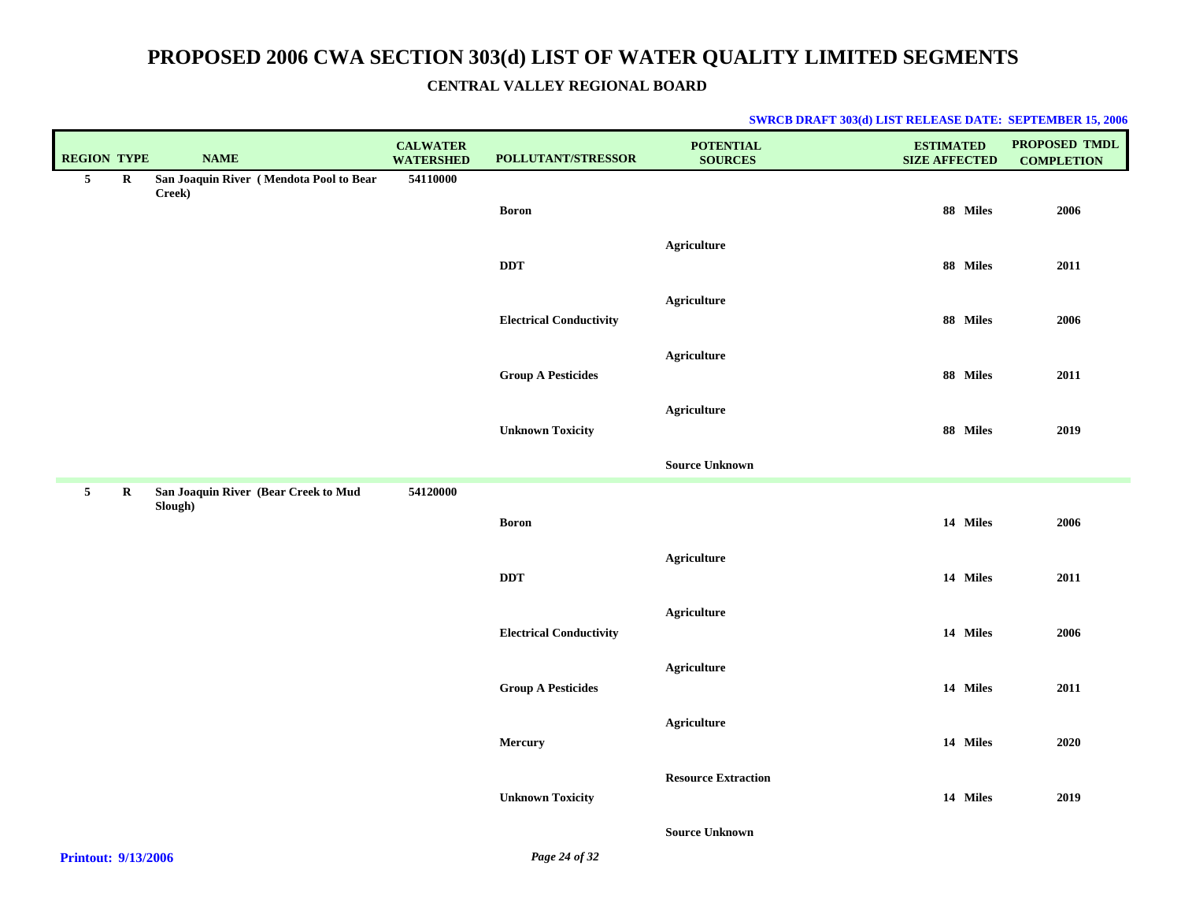|  |  |  |  | <b>SWRCB DRAFT 303(d) LIST RELEASE DATE: SEPTEMBER 15, 2006</b> |  |
|--|--|--|--|-----------------------------------------------------------------|--|
|--|--|--|--|-----------------------------------------------------------------|--|

| <b>REGION TYPE</b>                               |             | <b>NAME</b>                                       | <b>CALWATER</b><br><b>WATERSHED</b> | POLLUTANT/STRESSOR             | <b>POTENTIAL</b><br><b>SOURCES</b> | <b>ESTIMATED</b><br><b>SIZE AFFECTED</b> | PROPOSED TMDL<br><b>COMPLETION</b> |
|--------------------------------------------------|-------------|---------------------------------------------------|-------------------------------------|--------------------------------|------------------------------------|------------------------------------------|------------------------------------|
| $5\phantom{.0}$                                  | $\mathbf R$ | San Joaquin River (Mendota Pool to Bear<br>Creek) | 54110000                            |                                |                                    |                                          |                                    |
|                                                  |             |                                                   |                                     | <b>Boron</b>                   |                                    | 88 Miles                                 | 2006                               |
|                                                  |             |                                                   |                                     | <b>DDT</b>                     | <b>Agriculture</b>                 | 88 Miles                                 | 2011                               |
|                                                  |             |                                                   |                                     | <b>Electrical Conductivity</b> | <b>Agriculture</b>                 | 88 Miles                                 | 2006                               |
|                                                  |             |                                                   |                                     |                                |                                    |                                          |                                    |
|                                                  |             |                                                   |                                     | <b>Group A Pesticides</b>      | Agriculture                        | 88 Miles                                 | 2011                               |
|                                                  |             |                                                   |                                     | <b>Unknown Toxicity</b>        | <b>Agriculture</b>                 | 88 Miles                                 | 2019                               |
|                                                  |             |                                                   |                                     |                                | <b>Source Unknown</b>              |                                          |                                    |
| 5 <sub>5</sub>                                   | $\bf{R}$    | San Joaquin River (Bear Creek to Mud<br>Slough)   | 54120000                            |                                |                                    |                                          |                                    |
|                                                  |             |                                                   |                                     | <b>Boron</b>                   |                                    | 14 Miles                                 | 2006                               |
|                                                  |             |                                                   |                                     |                                | <b>Agriculture</b>                 |                                          |                                    |
|                                                  |             |                                                   |                                     | <b>DDT</b>                     |                                    | 14 Miles                                 | 2011                               |
|                                                  |             |                                                   |                                     | <b>Electrical Conductivity</b> | <b>Agriculture</b>                 | 14 Miles                                 | 2006                               |
|                                                  |             |                                                   |                                     |                                | Agriculture                        |                                          |                                    |
|                                                  |             |                                                   |                                     | <b>Group A Pesticides</b>      |                                    | 14 Miles                                 | 2011                               |
|                                                  |             |                                                   |                                     | Mercury                        | <b>Agriculture</b>                 | 14 Miles                                 | ${\bf 2020}$                       |
|                                                  |             |                                                   |                                     |                                |                                    |                                          |                                    |
|                                                  |             |                                                   |                                     | <b>Unknown Toxicity</b>        | <b>Resource Extraction</b>         | 14 Miles                                 | 2019                               |
|                                                  |             |                                                   |                                     |                                | <b>Source Unknown</b>              |                                          |                                    |
| $\sim$ $\sim$ $\sim$ $\sim$ $\sim$ $\sim$ $\sim$ |             |                                                   |                                     | $\mathbf{r}$ as $\mathbf{r}$   |                                    |                                          |                                    |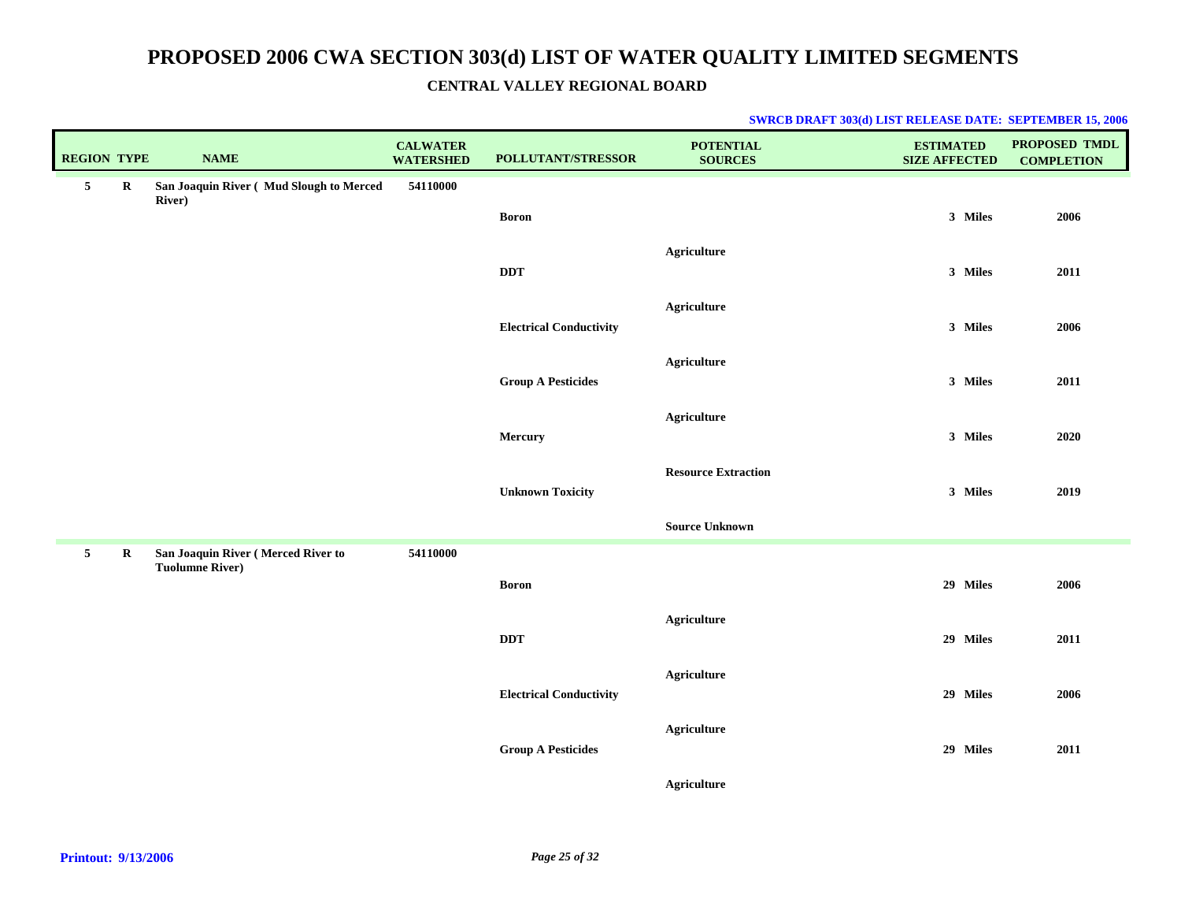| <b>REGION TYPE</b> |         | <b>NAME</b>                                                  | <b>CALWATER</b><br><b>WATERSHED</b> | POLLUTANT/STRESSOR             | <b>POTENTIAL</b><br><b>SOURCES</b> | <b>ESTIMATED</b><br><b>SIZE AFFECTED</b> | PROPOSED TMDL<br><b>COMPLETION</b> |
|--------------------|---------|--------------------------------------------------------------|-------------------------------------|--------------------------------|------------------------------------|------------------------------------------|------------------------------------|
| 5                  | $\bf R$ | San Joaquin River (Mud Slough to Merced<br><b>River</b> )    | 54110000                            |                                |                                    |                                          |                                    |
|                    |         |                                                              |                                     | <b>Boron</b>                   |                                    | 3 Miles                                  | 2006                               |
|                    |         |                                                              |                                     |                                | <b>Agriculture</b>                 |                                          |                                    |
|                    |         |                                                              |                                     | <b>DDT</b>                     |                                    | 3 Miles                                  | 2011                               |
|                    |         |                                                              |                                     | <b>Electrical Conductivity</b> | <b>Agriculture</b>                 | 3 Miles                                  | 2006                               |
|                    |         |                                                              |                                     |                                |                                    |                                          |                                    |
|                    |         |                                                              |                                     | <b>Group A Pesticides</b>      | <b>Agriculture</b>                 | 3 Miles                                  | 2011                               |
|                    |         |                                                              |                                     |                                | <b>Agriculture</b>                 |                                          |                                    |
|                    |         |                                                              |                                     | Mercury                        |                                    | 3 Miles                                  | 2020                               |
|                    |         |                                                              |                                     |                                | <b>Resource Extraction</b>         |                                          |                                    |
|                    |         |                                                              |                                     | <b>Unknown Toxicity</b>        |                                    | 3 Miles                                  | 2019                               |
|                    |         |                                                              |                                     |                                | <b>Source Unknown</b>              |                                          |                                    |
| $5\phantom{.0}$    | $\bf R$ | San Joaquin River (Merced River to<br><b>Tuolumne River)</b> | 54110000                            |                                |                                    |                                          |                                    |
|                    |         |                                                              |                                     | <b>Boron</b>                   |                                    | 29 Miles                                 | 2006                               |
|                    |         |                                                              |                                     | <b>DDT</b>                     | Agriculture                        | 29 Miles                                 | 2011                               |
|                    |         |                                                              |                                     |                                |                                    |                                          |                                    |
|                    |         |                                                              |                                     | <b>Electrical Conductivity</b> | <b>Agriculture</b>                 | 29 Miles                                 | 2006                               |
|                    |         |                                                              |                                     |                                | <b>Agriculture</b>                 |                                          |                                    |
|                    |         |                                                              |                                     | <b>Group A Pesticides</b>      |                                    | 29 Miles                                 | 2011                               |
|                    |         |                                                              |                                     |                                | <b>Agriculture</b>                 |                                          |                                    |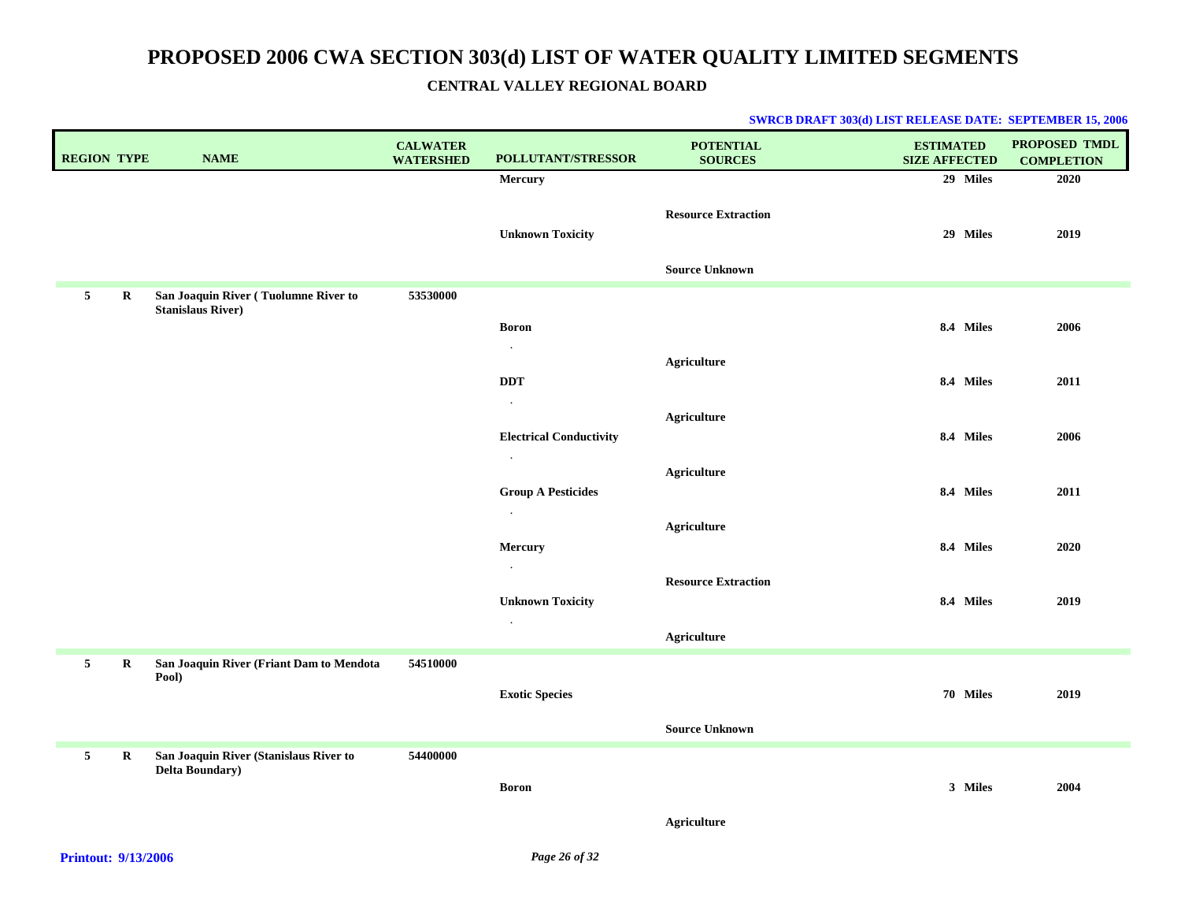| <b>REGION TYPE</b> |             | <b>NAME</b>                                                       | <b>CALWATER</b><br><b>WATERSHED</b> | <b>POLLUTANT/STRESSOR</b>                 | <b>POTENTIAL</b><br><b>SOURCES</b> | <b>ESTIMATED</b><br><b>SIZE AFFECTED</b> | <b>PROPOSED TMDL</b><br><b>COMPLETION</b> |
|--------------------|-------------|-------------------------------------------------------------------|-------------------------------------|-------------------------------------------|------------------------------------|------------------------------------------|-------------------------------------------|
|                    |             |                                                                   |                                     | Mercury                                   |                                    | 29 Miles                                 | 2020                                      |
|                    |             |                                                                   |                                     | <b>Unknown Toxicity</b>                   | <b>Resource Extraction</b>         | 29 Miles                                 | 2019                                      |
|                    |             |                                                                   |                                     |                                           | <b>Source Unknown</b>              |                                          |                                           |
| 5 <sub>5</sub>     | R           | San Joaquin River (Tuolumne River to<br><b>Stanislaus River)</b>  | 53530000                            |                                           |                                    |                                          |                                           |
|                    |             |                                                                   |                                     | <b>Boron</b>                              |                                    | 8.4 Miles                                | 2006                                      |
|                    |             |                                                                   |                                     | $\cdot$                                   | <b>Agriculture</b>                 |                                          |                                           |
|                    |             |                                                                   |                                     | $\bf DDT$                                 |                                    | 8.4 Miles                                | 2011                                      |
|                    |             |                                                                   |                                     | $\cdot$                                   |                                    |                                          |                                           |
|                    |             |                                                                   |                                     |                                           | Agriculture                        |                                          |                                           |
|                    |             |                                                                   |                                     | <b>Electrical Conductivity</b><br>$\cdot$ |                                    | 8.4 Miles                                | 2006                                      |
|                    |             |                                                                   |                                     |                                           | <b>Agriculture</b>                 |                                          |                                           |
|                    |             |                                                                   |                                     | <b>Group A Pesticides</b>                 |                                    | 8.4 Miles                                | 2011                                      |
|                    |             |                                                                   |                                     | $\bullet$                                 | <b>Agriculture</b>                 |                                          |                                           |
|                    |             |                                                                   |                                     | Mercury                                   |                                    | 8.4 Miles                                | 2020                                      |
|                    |             |                                                                   |                                     | $\bullet$                                 |                                    |                                          |                                           |
|                    |             |                                                                   |                                     |                                           | <b>Resource Extraction</b>         |                                          |                                           |
|                    |             |                                                                   |                                     | <b>Unknown Toxicity</b><br>$\bullet$      |                                    | 8.4 Miles                                | 2019                                      |
|                    |             |                                                                   |                                     |                                           | <b>Agriculture</b>                 |                                          |                                           |
| 5 <sub>5</sub>     | $\mathbf R$ | San Joaquin River (Friant Dam to Mendota                          | 54510000                            |                                           |                                    |                                          |                                           |
|                    |             | Pool)                                                             |                                     | <b>Exotic Species</b>                     |                                    | 70 Miles                                 | 2019                                      |
|                    |             |                                                                   |                                     |                                           |                                    |                                          |                                           |
|                    |             |                                                                   |                                     |                                           | <b>Source Unknown</b>              |                                          |                                           |
| 5 <sub>5</sub>     | $\mathbf R$ | San Joaquin River (Stanislaus River to<br><b>Delta Boundary</b> ) | 54400000                            |                                           |                                    |                                          |                                           |
|                    |             |                                                                   |                                     | <b>Boron</b>                              |                                    | 3 Miles                                  | 2004                                      |
|                    |             |                                                                   |                                     |                                           | <b>Agriculture</b>                 |                                          |                                           |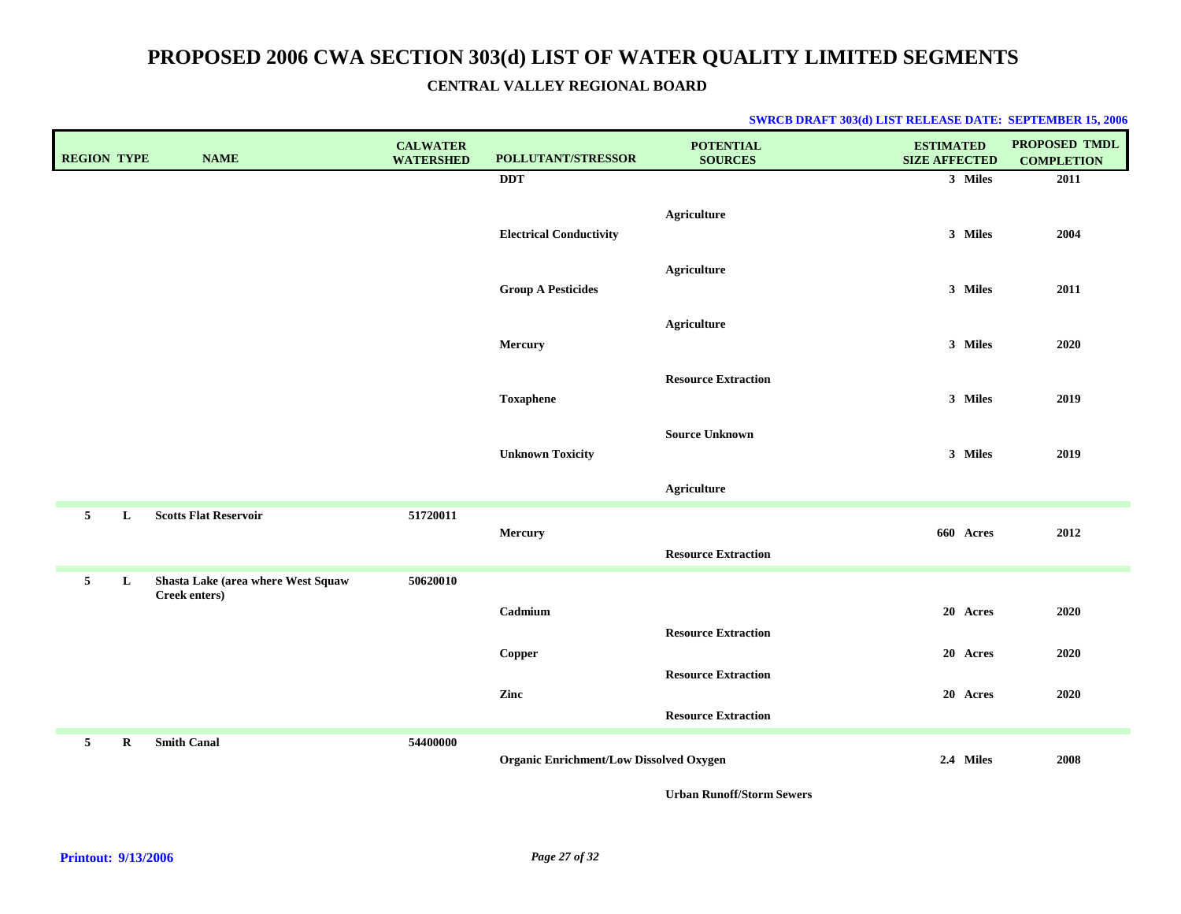#### **SWRCB DRAFT 303(d) LIST RELEASE DATE: SEPTEMBER 15, 2006**

| <b>REGION TYPE</b> |         | <b>NAME</b>                        | <b>CALWATER</b><br><b>WATERSHED</b> | POLLUTANT/STRESSOR                             | <b>POTENTIAL</b><br><b>SOURCES</b>                       | <b>ESTIMATED</b><br><b>SIZE AFFECTED</b> | PROPOSED TMDL<br><b>COMPLETION</b> |
|--------------------|---------|------------------------------------|-------------------------------------|------------------------------------------------|----------------------------------------------------------|------------------------------------------|------------------------------------|
|                    |         |                                    |                                     | <b>DDT</b>                                     |                                                          | 3 Miles                                  | 2011                               |
|                    |         |                                    |                                     | <b>Electrical Conductivity</b>                 | <b>Agriculture</b>                                       | 3 Miles                                  | 2004                               |
|                    |         |                                    |                                     | <b>Group A Pesticides</b>                      | <b>Agriculture</b>                                       | 3 Miles                                  | 2011                               |
|                    |         |                                    |                                     | Mercury                                        | <b>Agriculture</b>                                       | 3 Miles                                  | 2020                               |
|                    |         |                                    |                                     | <b>Toxaphene</b>                               | <b>Resource Extraction</b>                               | 3 Miles                                  | 2019                               |
|                    |         |                                    |                                     | <b>Unknown Toxicity</b>                        | <b>Source Unknown</b>                                    | 3 Miles                                  | 2019                               |
|                    |         |                                    |                                     |                                                | <b>Agriculture</b>                                       |                                          |                                    |
| 5                  | L       | <b>Scotts Flat Reservoir</b>       | 51720011                            | Mercury                                        | <b>Resource Extraction</b>                               | 660 Acres                                | 2012                               |
| 5 <sub>5</sub>     | L       | Shasta Lake (area where West Squaw | 50620010                            |                                                |                                                          |                                          |                                    |
|                    |         | Creek enters)                      |                                     | Cadmium                                        | <b>Resource Extraction</b>                               | 20 Acres                                 | 2020                               |
|                    |         |                                    |                                     | Copper                                         |                                                          | 20 Acres                                 | 2020                               |
|                    |         |                                    |                                     | Zinc                                           | <b>Resource Extraction</b><br><b>Resource Extraction</b> | 20 Acres                                 | 2020                               |
| 5                  | $\bf R$ | <b>Smith Canal</b>                 | 54400000                            | <b>Organic Enrichment/Low Dissolved Oxygen</b> |                                                          | 2.4 Miles                                | 2008                               |

**Urban Runoff/Storm Sewers**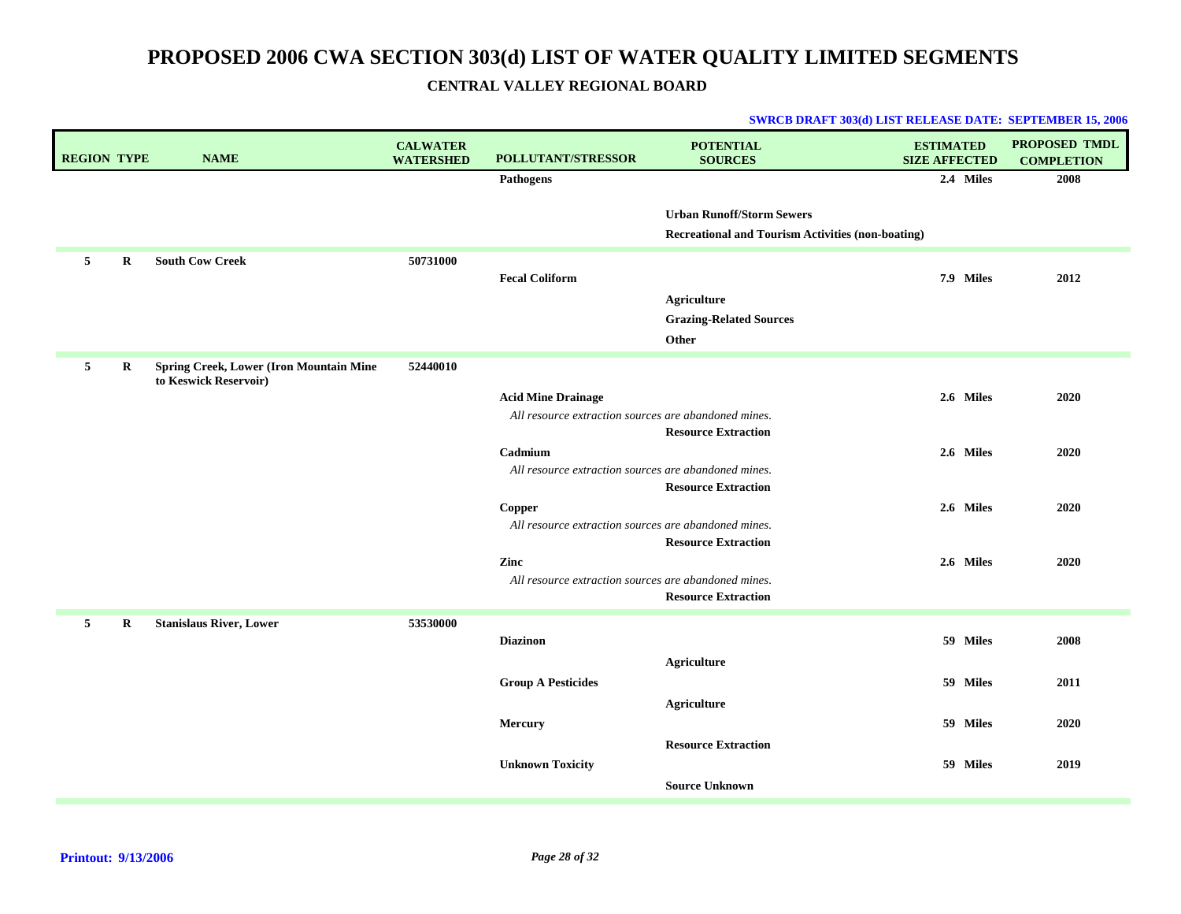| <b>REGION TYPE</b> |         | <b>NAME</b>                                                             | <b>CALWATER</b><br><b>WATERSHED</b> | POLLUTANT/STRESSOR                                   | <b>POTENTIAL</b><br><b>SOURCES</b>                                                           | <b>ESTIMATED</b><br><b>SIZE AFFECTED</b> | <b>PROPOSED TMDL</b><br><b>COMPLETION</b> |
|--------------------|---------|-------------------------------------------------------------------------|-------------------------------------|------------------------------------------------------|----------------------------------------------------------------------------------------------|------------------------------------------|-------------------------------------------|
|                    |         |                                                                         |                                     | <b>Pathogens</b>                                     |                                                                                              | 2.4 Miles                                | 2008                                      |
|                    |         |                                                                         |                                     |                                                      | <b>Urban Runoff/Storm Sewers</b><br><b>Recreational and Tourism Activities (non-boating)</b> |                                          |                                           |
| 5                  | $\bf R$ | <b>South Cow Creek</b>                                                  | 50731000                            |                                                      |                                                                                              |                                          |                                           |
|                    |         |                                                                         |                                     | <b>Fecal Coliform</b>                                |                                                                                              | 7.9 Miles                                | 2012                                      |
|                    |         |                                                                         |                                     |                                                      | <b>Agriculture</b>                                                                           |                                          |                                           |
|                    |         |                                                                         |                                     |                                                      | <b>Grazing-Related Sources</b>                                                               |                                          |                                           |
|                    |         |                                                                         |                                     |                                                      | Other                                                                                        |                                          |                                           |
| 5                  | $\bf R$ | <b>Spring Creek, Lower (Iron Mountain Mine</b><br>to Keswick Reservoir) | 52440010                            |                                                      |                                                                                              |                                          |                                           |
|                    |         |                                                                         |                                     | <b>Acid Mine Drainage</b>                            |                                                                                              | 2.6 Miles                                | 2020                                      |
|                    |         |                                                                         |                                     | All resource extraction sources are abandoned mines. |                                                                                              |                                          |                                           |
|                    |         |                                                                         |                                     | Cadmium                                              | <b>Resource Extraction</b>                                                                   | 2.6 Miles                                | 2020                                      |
|                    |         |                                                                         |                                     | All resource extraction sources are abandoned mines. |                                                                                              |                                          |                                           |
|                    |         |                                                                         |                                     |                                                      | <b>Resource Extraction</b>                                                                   |                                          |                                           |
|                    |         |                                                                         |                                     | Copper                                               |                                                                                              | 2.6 Miles                                | 2020                                      |
|                    |         |                                                                         |                                     | All resource extraction sources are abandoned mines. | <b>Resource Extraction</b>                                                                   |                                          |                                           |
|                    |         |                                                                         |                                     | Zinc                                                 |                                                                                              | 2.6 Miles                                | 2020                                      |
|                    |         |                                                                         |                                     | All resource extraction sources are abandoned mines. |                                                                                              |                                          |                                           |
|                    |         |                                                                         |                                     |                                                      | <b>Resource Extraction</b>                                                                   |                                          |                                           |
| 5                  | $\bf R$ | <b>Stanislaus River, Lower</b>                                          | 53530000                            |                                                      |                                                                                              |                                          |                                           |
|                    |         |                                                                         |                                     | <b>Diazinon</b>                                      |                                                                                              | 59 Miles                                 | 2008                                      |
|                    |         |                                                                         |                                     |                                                      | <b>Agriculture</b>                                                                           |                                          |                                           |
|                    |         |                                                                         |                                     | <b>Group A Pesticides</b>                            |                                                                                              | 59 Miles                                 | 2011                                      |
|                    |         |                                                                         |                                     |                                                      | <b>Agriculture</b>                                                                           |                                          |                                           |
|                    |         |                                                                         |                                     | Mercury                                              |                                                                                              | 59 Miles                                 | 2020                                      |
|                    |         |                                                                         |                                     | <b>Unknown Toxicity</b>                              | <b>Resource Extraction</b>                                                                   | 59 Miles                                 | 2019                                      |
|                    |         |                                                                         |                                     |                                                      | <b>Source Unknown</b>                                                                        |                                          |                                           |
|                    |         |                                                                         |                                     |                                                      |                                                                                              |                                          |                                           |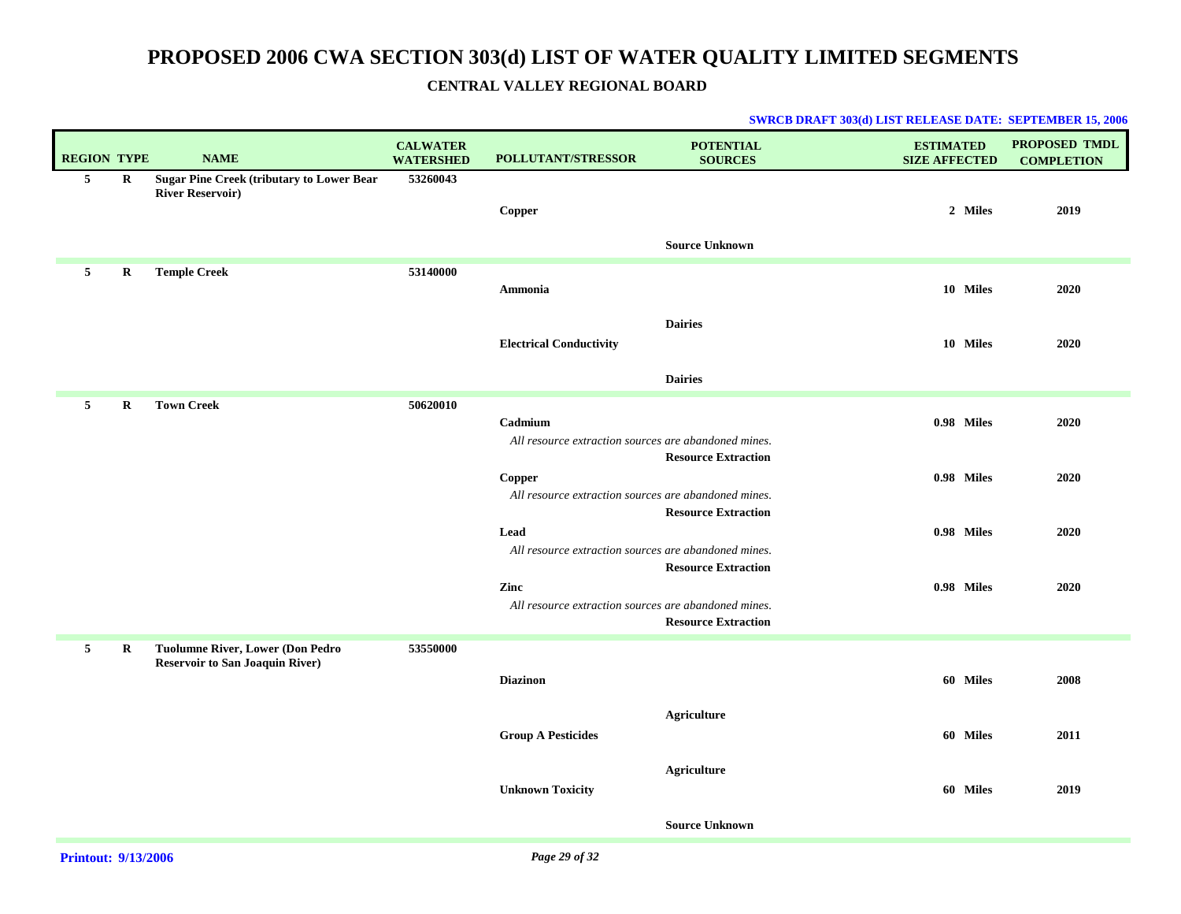| <b>REGION TYPE</b> |             | <b>NAME</b>                                                                 | <b>CALWATER</b><br><b>WATERSHED</b> | POLLUTANT/STRESSOR                                                                                                   | <b>POTENTIAL</b><br><b>SOURCES</b>                       | <b>ESTIMATED</b><br><b>SIZE AFFECTED</b> | <b>PROPOSED TMDL</b><br><b>COMPLETION</b> |
|--------------------|-------------|-----------------------------------------------------------------------------|-------------------------------------|----------------------------------------------------------------------------------------------------------------------|----------------------------------------------------------|------------------------------------------|-------------------------------------------|
| 5                  | $\bf R$     | <b>Sugar Pine Creek (tributary to Lower Bear</b><br><b>River Reservoir)</b> | 53260043                            | Copper                                                                                                               | <b>Source Unknown</b>                                    | 2 Miles                                  | 2019                                      |
| 5                  | R           | <b>Temple Creek</b>                                                         | 53140000                            | Ammonia                                                                                                              |                                                          | 10 Miles                                 | 2020                                      |
|                    |             |                                                                             |                                     | <b>Electrical Conductivity</b>                                                                                       | <b>Dairies</b><br><b>Dairies</b>                         | 10 Miles                                 | 2020                                      |
| 5                  | $\bf R$     | <b>Town Creek</b>                                                           | 50620010                            |                                                                                                                      |                                                          |                                          |                                           |
|                    |             |                                                                             |                                     | Cadmium<br>All resource extraction sources are abandoned mines.                                                      |                                                          | 0.98 Miles                               | 2020                                      |
|                    |             |                                                                             |                                     | Copper<br>All resource extraction sources are abandoned mines.                                                       | <b>Resource Extraction</b><br><b>Resource Extraction</b> | 0.98 Miles                               | 2020                                      |
|                    |             |                                                                             |                                     | Lead                                                                                                                 |                                                          | 0.98 Miles                               | 2020                                      |
|                    |             |                                                                             |                                     | All resource extraction sources are abandoned mines.<br>Zinc<br>All resource extraction sources are abandoned mines. | <b>Resource Extraction</b><br><b>Resource Extraction</b> | 0.98 Miles                               | 2020                                      |
| 5 <sub>1</sub>     | $\mathbf R$ | Tuolumne River, Lower (Don Pedro<br><b>Reservoir to San Joaquin River)</b>  | 53550000                            |                                                                                                                      |                                                          |                                          |                                           |
|                    |             |                                                                             |                                     | <b>Diazinon</b>                                                                                                      |                                                          | 60 Miles                                 | 2008                                      |
|                    |             |                                                                             |                                     | <b>Group A Pesticides</b>                                                                                            | <b>Agriculture</b>                                       | 60 Miles                                 | 2011                                      |
|                    |             |                                                                             |                                     | <b>Unknown Toxicity</b>                                                                                              | <b>Agriculture</b>                                       | 60 Miles                                 | 2019                                      |
|                    |             |                                                                             |                                     |                                                                                                                      | <b>Source Unknown</b>                                    |                                          |                                           |
|                    |             |                                                                             |                                     |                                                                                                                      |                                                          |                                          |                                           |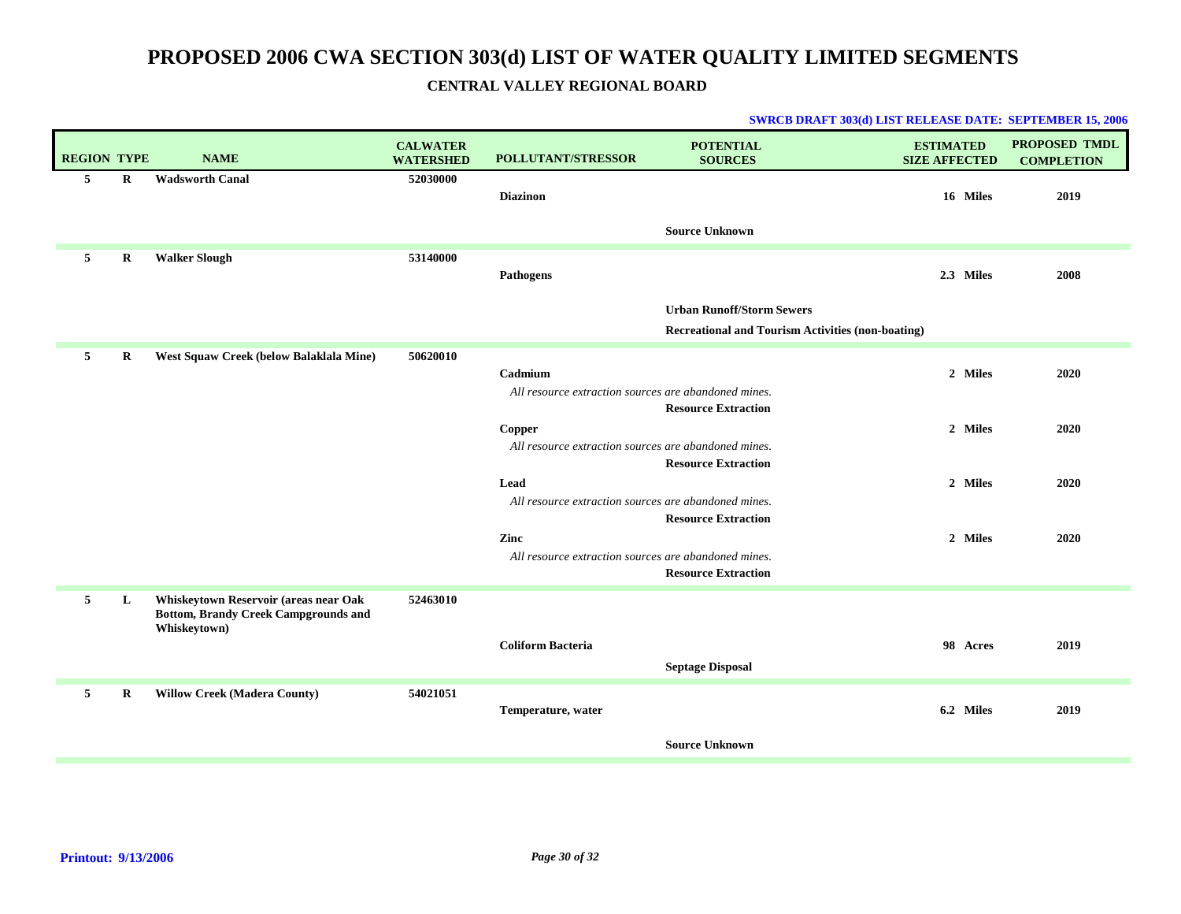| <b>REGION TYPE</b> |         | <b>NAME</b>                                                                                          | <b>CALWATER</b><br><b>WATERSHED</b> | <b>POLLUTANT/STRESSOR</b>                            | <b>POTENTIAL</b><br><b>SOURCES</b>                       | <b>ESTIMATED</b><br><b>SIZE AFFECTED</b> | PROPOSED TMDL<br><b>COMPLETION</b> |
|--------------------|---------|------------------------------------------------------------------------------------------------------|-------------------------------------|------------------------------------------------------|----------------------------------------------------------|------------------------------------------|------------------------------------|
| 5                  | $\bf R$ | <b>Wadsworth Canal</b>                                                                               | 52030000                            | <b>Diazinon</b>                                      |                                                          | 16 Miles                                 | 2019                               |
|                    |         |                                                                                                      |                                     |                                                      | <b>Source Unknown</b>                                    |                                          |                                    |
| 5                  | $\bf R$ | <b>Walker Slough</b>                                                                                 | 53140000                            | <b>Pathogens</b>                                     |                                                          | 2.3 Miles                                | 2008                               |
|                    |         |                                                                                                      |                                     |                                                      | <b>Urban Runoff/Storm Sewers</b>                         |                                          |                                    |
|                    |         |                                                                                                      |                                     |                                                      | <b>Recreational and Tourism Activities (non-boating)</b> |                                          |                                    |
| 5                  | $\bf R$ | West Squaw Creek (below Balaklala Mine)                                                              | 50620010                            |                                                      |                                                          |                                          |                                    |
|                    |         |                                                                                                      |                                     | Cadmium                                              |                                                          | 2 Miles                                  | 2020                               |
|                    |         |                                                                                                      |                                     | All resource extraction sources are abandoned mines. | <b>Resource Extraction</b>                               |                                          |                                    |
|                    |         |                                                                                                      |                                     | Copper                                               |                                                          | 2 Miles                                  | 2020                               |
|                    |         |                                                                                                      |                                     | All resource extraction sources are abandoned mines. |                                                          |                                          |                                    |
|                    |         |                                                                                                      |                                     |                                                      | <b>Resource Extraction</b>                               |                                          |                                    |
|                    |         |                                                                                                      |                                     | Lead                                                 |                                                          | 2 Miles                                  | 2020                               |
|                    |         |                                                                                                      |                                     | All resource extraction sources are abandoned mines. | <b>Resource Extraction</b>                               |                                          |                                    |
|                    |         |                                                                                                      |                                     | Zinc                                                 |                                                          | 2 Miles                                  | 2020                               |
|                    |         |                                                                                                      |                                     | All resource extraction sources are abandoned mines. |                                                          |                                          |                                    |
|                    |         |                                                                                                      |                                     |                                                      | <b>Resource Extraction</b>                               |                                          |                                    |
| 5                  | L       | Whiskeytown Reservoir (areas near Oak<br><b>Bottom, Brandy Creek Campgrounds and</b><br>Whiskeytown) | 52463010                            |                                                      |                                                          |                                          |                                    |
|                    |         |                                                                                                      |                                     | <b>Coliform Bacteria</b>                             |                                                          | 98 Acres                                 | 2019                               |
|                    |         |                                                                                                      |                                     |                                                      | <b>Septage Disposal</b>                                  |                                          |                                    |
| 5                  | $\bf R$ | <b>Willow Creek (Madera County)</b>                                                                  | 54021051                            |                                                      |                                                          |                                          |                                    |
|                    |         |                                                                                                      |                                     | Temperature, water                                   |                                                          | 6.2 Miles                                | 2019                               |
|                    |         |                                                                                                      |                                     |                                                      | <b>Source Unknown</b>                                    |                                          |                                    |
|                    |         |                                                                                                      |                                     |                                                      |                                                          |                                          |                                    |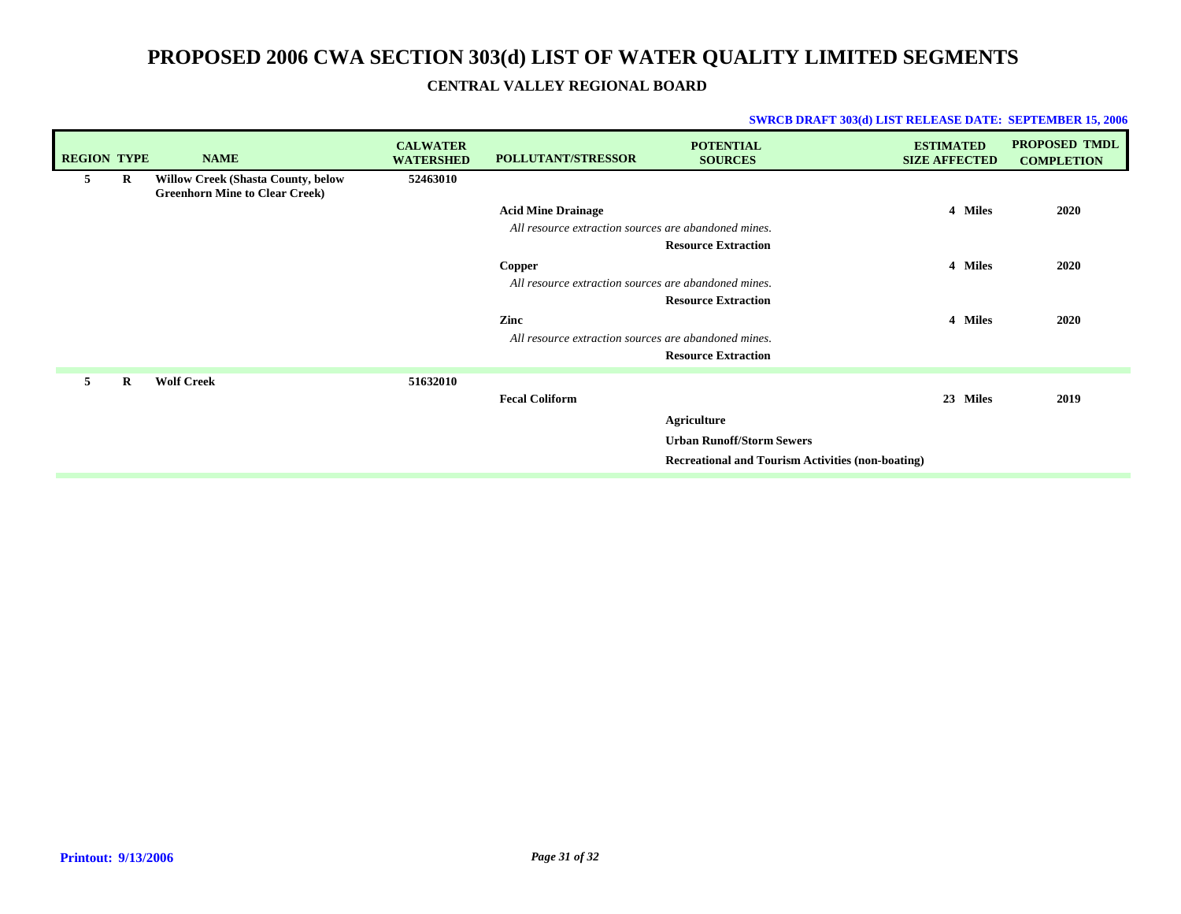| <b>REGION TYPE</b> |          | <b>NAME</b>                                                                        | <b>CALWATER</b><br><b>WATERSHED</b> | <b>POLLUTANT/STRESSOR</b>                            | <b>POTENTIAL</b><br><b>SOURCES</b>                       | <b>ESTIMATED</b><br><b>SIZE AFFECTED</b> | <b>PROPOSED TMDL</b><br><b>COMPLETION</b> |
|--------------------|----------|------------------------------------------------------------------------------------|-------------------------------------|------------------------------------------------------|----------------------------------------------------------|------------------------------------------|-------------------------------------------|
| 5                  | R        | <b>Willow Creek (Shasta County, below</b><br><b>Greenhorn Mine to Clear Creek)</b> | 52463010                            |                                                      |                                                          |                                          |                                           |
|                    |          |                                                                                    |                                     | <b>Acid Mine Drainage</b>                            |                                                          | 4 Miles                                  | 2020                                      |
|                    |          |                                                                                    |                                     | All resource extraction sources are abandoned mines. |                                                          |                                          |                                           |
|                    |          |                                                                                    |                                     |                                                      | <b>Resource Extraction</b>                               |                                          |                                           |
|                    |          |                                                                                    |                                     | <b>Copper</b>                                        |                                                          | 4 Miles                                  | 2020                                      |
|                    |          |                                                                                    |                                     | All resource extraction sources are abandoned mines. |                                                          |                                          |                                           |
|                    |          |                                                                                    |                                     |                                                      | <b>Resource Extraction</b>                               |                                          |                                           |
|                    |          |                                                                                    |                                     | Zinc                                                 |                                                          | 4 Miles                                  | 2020                                      |
|                    |          |                                                                                    |                                     | All resource extraction sources are abandoned mines. |                                                          |                                          |                                           |
|                    |          |                                                                                    |                                     |                                                      | <b>Resource Extraction</b>                               |                                          |                                           |
| 5                  | $\bf{R}$ | <b>Wolf Creek</b>                                                                  | 51632010                            |                                                      |                                                          |                                          |                                           |
|                    |          |                                                                                    |                                     | <b>Fecal Coliform</b>                                |                                                          | 23 Miles                                 | 2019                                      |
|                    |          |                                                                                    |                                     |                                                      | Agriculture                                              |                                          |                                           |
|                    |          |                                                                                    |                                     |                                                      | <b>Urban Runoff/Storm Sewers</b>                         |                                          |                                           |
|                    |          |                                                                                    |                                     |                                                      | <b>Recreational and Tourism Activities (non-boating)</b> |                                          |                                           |
|                    |          |                                                                                    |                                     |                                                      |                                                          |                                          |                                           |